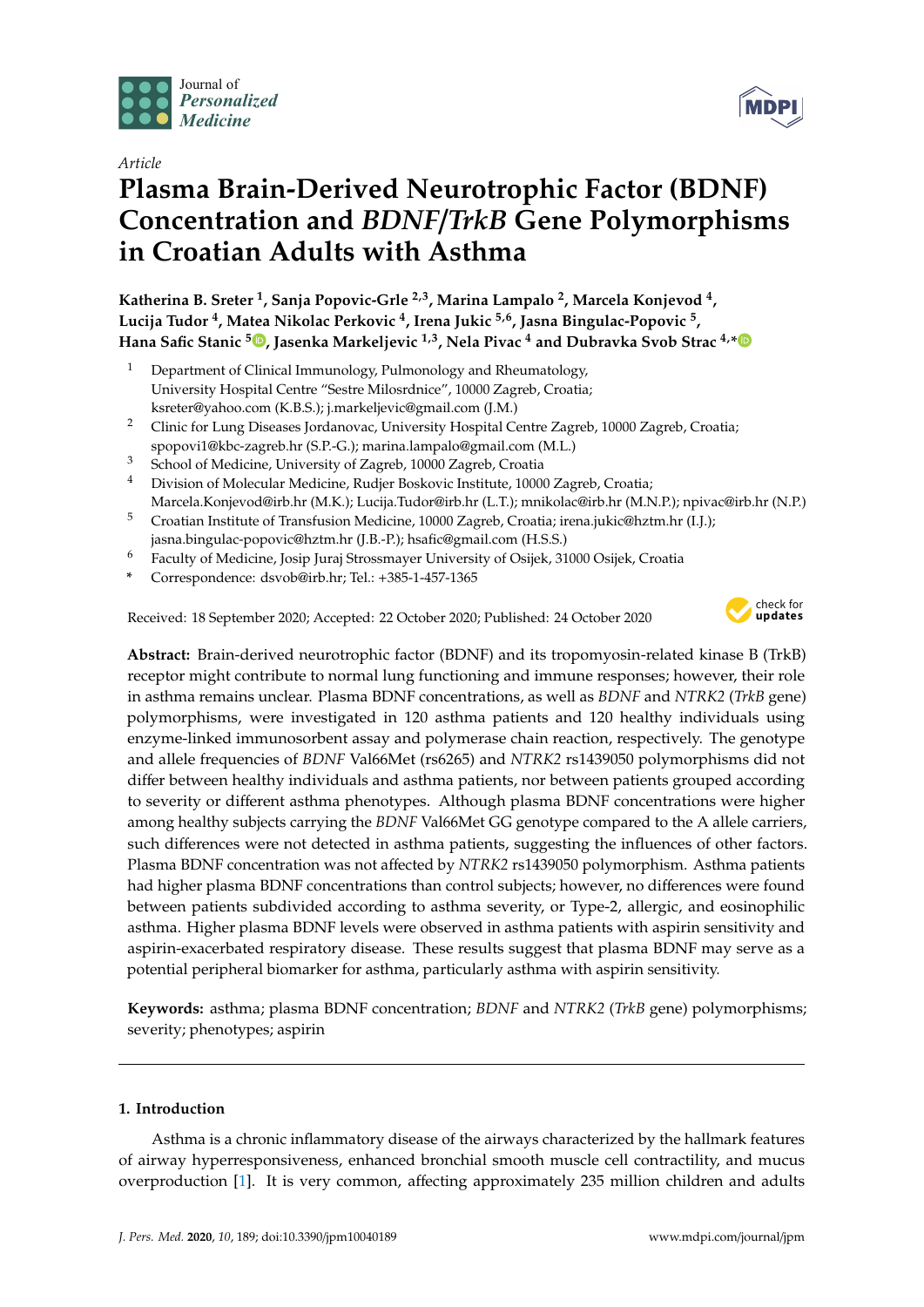

*Article*

# **Plasma Brain-Derived Neurotrophic Factor (BDNF) Concentration and** *BDNF*/*TrkB* **Gene Polymorphisms in Croatian Adults with Asthma**

**Katherina B. Sreter <sup>1</sup> , Sanja Popovic-Grle 2,3, Marina Lampalo <sup>2</sup> , Marcela Konjevod <sup>4</sup> , Lucija Tudor <sup>4</sup> , Matea Nikolac Perkovic <sup>4</sup> , Irena Jukic 5,6, Jasna Bingulac-Popovic <sup>5</sup> , Hana Safic Stanic [5](https://orcid.org/0000-0001-8981-9247) , Jasenka Markeljevic 1,3, Nela Pivac <sup>4</sup> and Dubravka Svob Strac 4,[\\*](https://orcid.org/0000-0001-6200-2405)**

- <sup>1</sup> Department of Clinical Immunology, Pulmonology and Rheumatology, University Hospital Centre "Sestre Milosrdnice", 10000 Zagreb, Croatia; ksreter@yahoo.com (K.B.S.); j.markeljevic@gmail.com (J.M.)
- <sup>2</sup> Clinic for Lung Diseases Jordanovac, University Hospital Centre Zagreb, 10000 Zagreb, Croatia; spopovi1@kbc-zagreb.hr (S.P.-G.); marina.lampalo@gmail.com (M.L.)
- <sup>3</sup> School of Medicine, University of Zagreb, 10000 Zagreb, Croatia
- <sup>4</sup> Division of Molecular Medicine, Rudjer Boskovic Institute, 10000 Zagreb, Croatia; Marcela.Konjevod@irb.hr (M.K.); Lucija.Tudor@irb.hr (L.T.); mnikolac@irb.hr (M.N.P.); npivac@irb.hr (N.P.)
- <sup>5</sup> Croatian Institute of Transfusion Medicine, 10000 Zagreb, Croatia; irena.jukic@hztm.hr (I.J.); jasna.bingulac-popovic@hztm.hr (J.B.-P.); hsafic@gmail.com (H.S.S.)
- <sup>6</sup> Faculty of Medicine, Josip Juraj Strossmayer University of Osijek, 31000 Osijek, Croatia
- **\*** Correspondence: dsvob@irb.hr; Tel.: +385-1-457-1365

Received: 18 September 2020; Accepted: 22 October 2020; Published: 24 October 2020



**MDPI** 

**Abstract:** Brain-derived neurotrophic factor (BDNF) and its tropomyosin-related kinase B (TrkB) receptor might contribute to normal lung functioning and immune responses; however, their role in asthma remains unclear. Plasma BDNF concentrations, as well as *BDNF* and *NTRK2* (*TrkB* gene) polymorphisms, were investigated in 120 asthma patients and 120 healthy individuals using enzyme-linked immunosorbent assay and polymerase chain reaction, respectively. The genotype and allele frequencies of *BDNF* Val66Met (rs6265) and *NTRK2* rs1439050 polymorphisms did not differ between healthy individuals and asthma patients, nor between patients grouped according to severity or different asthma phenotypes. Although plasma BDNF concentrations were higher among healthy subjects carrying the *BDNF* Val66Met GG genotype compared to the A allele carriers, such differences were not detected in asthma patients, suggesting the influences of other factors. Plasma BDNF concentration was not affected by *NTRK2* rs1439050 polymorphism. Asthma patients had higher plasma BDNF concentrations than control subjects; however, no differences were found between patients subdivided according to asthma severity, or Type-2, allergic, and eosinophilic asthma. Higher plasma BDNF levels were observed in asthma patients with aspirin sensitivity and aspirin-exacerbated respiratory disease. These results suggest that plasma BDNF may serve as a potential peripheral biomarker for asthma, particularly asthma with aspirin sensitivity.

**Keywords:** asthma; plasma BDNF concentration; *BDNF* and *NTRK2* (*TrkB* gene) polymorphisms; severity; phenotypes; aspirin

## **1. Introduction**

Asthma is a chronic inflammatory disease of the airways characterized by the hallmark features of airway hyperresponsiveness, enhanced bronchial smooth muscle cell contractility, and mucus overproduction [\[1\]](#page-14-0). It is very common, affecting approximately 235 million children and adults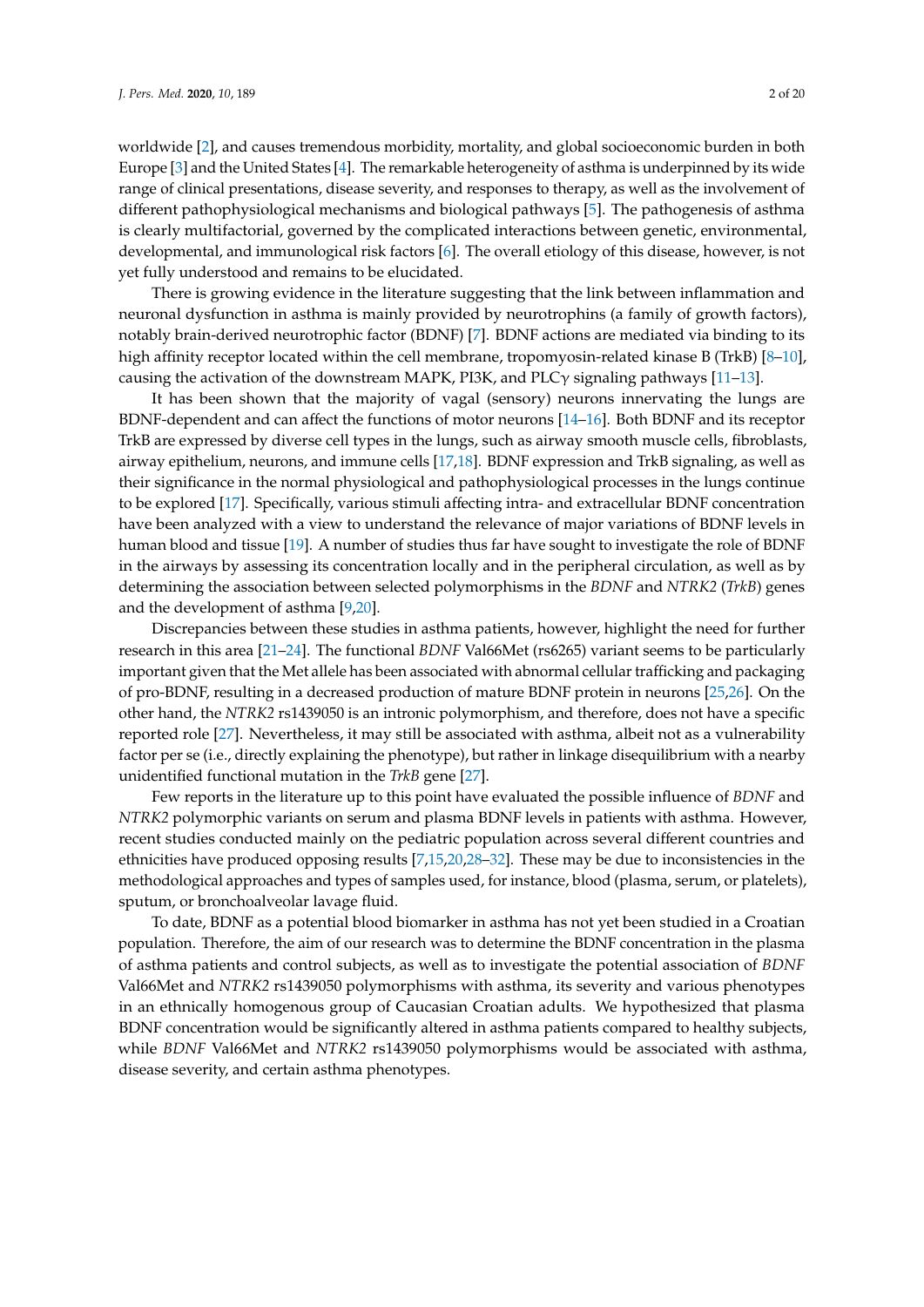worldwide [\[2\]](#page-14-1), and causes tremendous morbidity, mortality, and global socioeconomic burden in both Europe [\[3\]](#page-14-2) and the United States [\[4\]](#page-15-0). The remarkable heterogeneity of asthma is underpinned by its wide range of clinical presentations, disease severity, and responses to therapy, as well as the involvement of different pathophysiological mechanisms and biological pathways [\[5\]](#page-15-1). The pathogenesis of asthma is clearly multifactorial, governed by the complicated interactions between genetic, environmental, developmental, and immunological risk factors [\[6\]](#page-15-2). The overall etiology of this disease, however, is not yet fully understood and remains to be elucidated.

There is growing evidence in the literature suggesting that the link between inflammation and neuronal dysfunction in asthma is mainly provided by neurotrophins (a family of growth factors), notably brain-derived neurotrophic factor (BDNF) [\[7\]](#page-15-3). BDNF actions are mediated via binding to its high affinity receptor located within the cell membrane, tropomyosin-related kinase B (TrkB) [\[8](#page-15-4)[–10\]](#page-15-5), causing the activation of the downstream MAPK, PI3K, and PLC $\gamma$  signaling pathways [\[11–](#page-15-6)[13\]](#page-15-7).

It has been shown that the majority of vagal (sensory) neurons innervating the lungs are BDNF-dependent and can affect the functions of motor neurons [\[14–](#page-15-8)[16\]](#page-15-9). Both BDNF and its receptor TrkB are expressed by diverse cell types in the lungs, such as airway smooth muscle cells, fibroblasts, airway epithelium, neurons, and immune cells [\[17](#page-15-10)[,18\]](#page-15-11). BDNF expression and TrkB signaling, as well as their significance in the normal physiological and pathophysiological processes in the lungs continue to be explored [\[17\]](#page-15-10). Specifically, various stimuli affecting intra- and extracellular BDNF concentration have been analyzed with a view to understand the relevance of major variations of BDNF levels in human blood and tissue [\[19\]](#page-15-12). A number of studies thus far have sought to investigate the role of BDNF in the airways by assessing its concentration locally and in the peripheral circulation, as well as by determining the association between selected polymorphisms in the *BDNF* and *NTRK2* (*TrkB*) genes and the development of asthma [\[9](#page-15-13)[,20\]](#page-15-14).

Discrepancies between these studies in asthma patients, however, highlight the need for further research in this area [\[21](#page-15-15)[–24\]](#page-15-16). The functional *BDNF* Val66Met (rs6265) variant seems to be particularly important given that the Met allele has been associated with abnormal cellular trafficking and packaging of pro-BDNF, resulting in a decreased production of mature BDNF protein in neurons [\[25,](#page-16-0)[26\]](#page-16-1). On the other hand, the *NTRK2* rs1439050 is an intronic polymorphism, and therefore, does not have a specific reported role [\[27\]](#page-16-2). Nevertheless, it may still be associated with asthma, albeit not as a vulnerability factor per se (i.e., directly explaining the phenotype), but rather in linkage disequilibrium with a nearby unidentified functional mutation in the *TrkB* gene [\[27\]](#page-16-2).

Few reports in the literature up to this point have evaluated the possible influence of *BDNF* and *NTRK2* polymorphic variants on serum and plasma BDNF levels in patients with asthma. However, recent studies conducted mainly on the pediatric population across several different countries and ethnicities have produced opposing results [\[7,](#page-15-3)[15](#page-15-17)[,20](#page-15-14)[,28–](#page-16-3)[32\]](#page-16-4). These may be due to inconsistencies in the methodological approaches and types of samples used, for instance, blood (plasma, serum, or platelets), sputum, or bronchoalveolar lavage fluid.

To date, BDNF as a potential blood biomarker in asthma has not yet been studied in a Croatian population. Therefore, the aim of our research was to determine the BDNF concentration in the plasma of asthma patients and control subjects, as well as to investigate the potential association of *BDNF* Val66Met and *NTRK2* rs1439050 polymorphisms with asthma, its severity and various phenotypes in an ethnically homogenous group of Caucasian Croatian adults. We hypothesized that plasma BDNF concentration would be significantly altered in asthma patients compared to healthy subjects, while *BDNF* Val66Met and *NTRK2* rs1439050 polymorphisms would be associated with asthma, disease severity, and certain asthma phenotypes.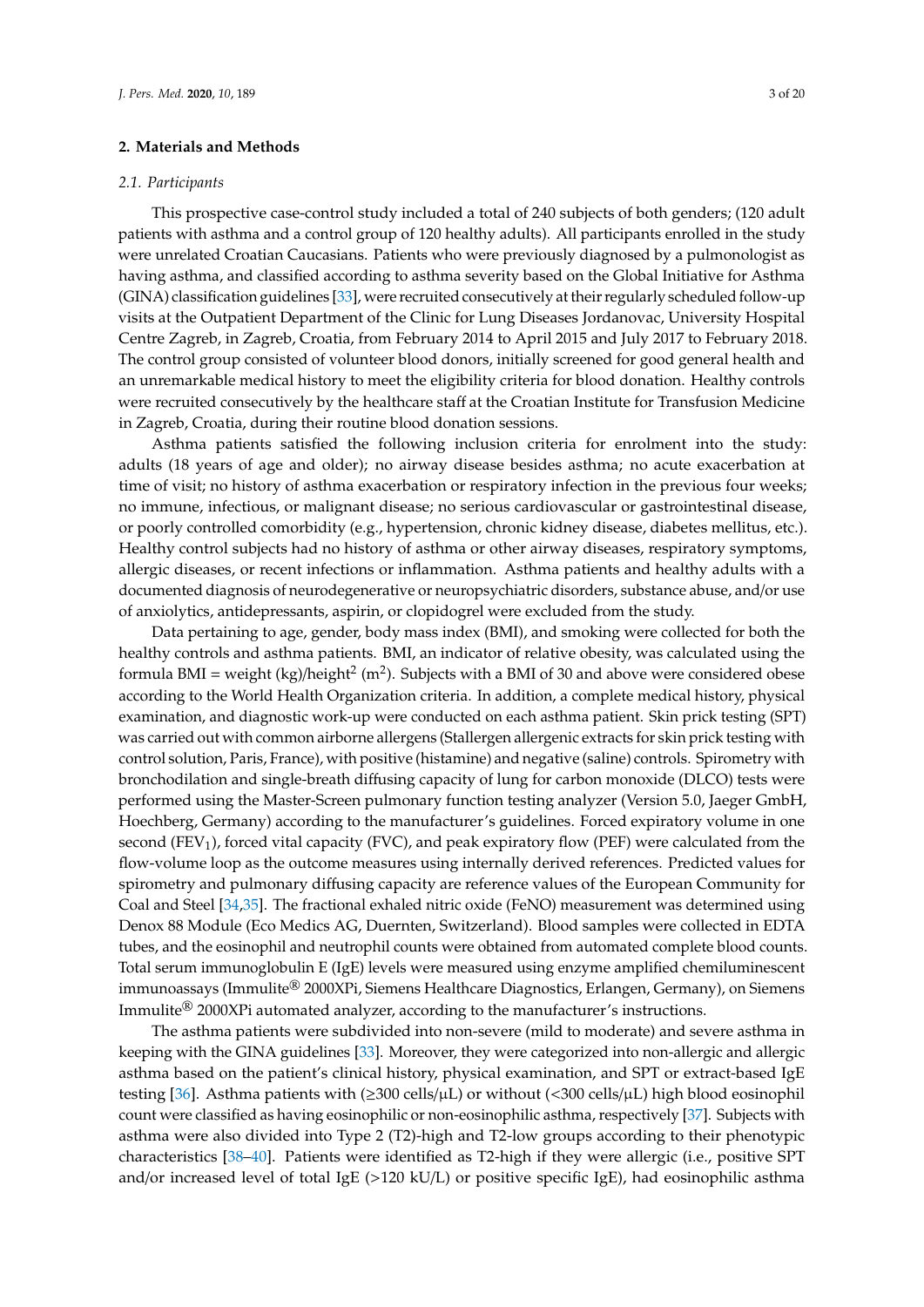## **2. Materials and Methods**

### *2.1. Participants*

This prospective case-control study included a total of 240 subjects of both genders; (120 adult patients with asthma and a control group of 120 healthy adults). All participants enrolled in the study were unrelated Croatian Caucasians. Patients who were previously diagnosed by a pulmonologist as having asthma, and classified according to asthma severity based on the Global Initiative for Asthma (GINA) classification guidelines [\[33\]](#page-16-5), were recruited consecutively at their regularly scheduled follow-up visits at the Outpatient Department of the Clinic for Lung Diseases Jordanovac, University Hospital Centre Zagreb, in Zagreb, Croatia, from February 2014 to April 2015 and July 2017 to February 2018. The control group consisted of volunteer blood donors, initially screened for good general health and an unremarkable medical history to meet the eligibility criteria for blood donation. Healthy controls were recruited consecutively by the healthcare staff at the Croatian Institute for Transfusion Medicine in Zagreb, Croatia, during their routine blood donation sessions.

Asthma patients satisfied the following inclusion criteria for enrolment into the study: adults (18 years of age and older); no airway disease besides asthma; no acute exacerbation at time of visit; no history of asthma exacerbation or respiratory infection in the previous four weeks; no immune, infectious, or malignant disease; no serious cardiovascular or gastrointestinal disease, or poorly controlled comorbidity (e.g., hypertension, chronic kidney disease, diabetes mellitus, etc.). Healthy control subjects had no history of asthma or other airway diseases, respiratory symptoms, allergic diseases, or recent infections or inflammation. Asthma patients and healthy adults with a documented diagnosis of neurodegenerative or neuropsychiatric disorders, substance abuse, and/or use of anxiolytics, antidepressants, aspirin, or clopidogrel were excluded from the study.

Data pertaining to age, gender, body mass index (BMI), and smoking were collected for both the healthy controls and asthma patients. BMI, an indicator of relative obesity, was calculated using the formula BMI = weight (kg)/height<sup>2</sup> (m<sup>2</sup>). Subjects with a BMI of 30 and above were considered obese according to the World Health Organization criteria. In addition, a complete medical history, physical examination, and diagnostic work-up were conducted on each asthma patient. Skin prick testing (SPT) was carried out with common airborne allergens (Stallergen allergenic extracts for skin prick testing with control solution, Paris, France), with positive (histamine) and negative (saline) controls. Spirometry with bronchodilation and single-breath diffusing capacity of lung for carbon monoxide (DLCO) tests were performed using the Master-Screen pulmonary function testing analyzer (Version 5.0, Jaeger GmbH, Hoechberg, Germany) according to the manufacturer's guidelines. Forced expiratory volume in one second (FEV<sub>1</sub>), forced vital capacity (FVC), and peak expiratory flow (PEF) were calculated from the flow-volume loop as the outcome measures using internally derived references. Predicted values for spirometry and pulmonary diffusing capacity are reference values of the European Community for Coal and Steel [\[34,](#page-16-6)[35\]](#page-16-7). The fractional exhaled nitric oxide (FeNO) measurement was determined using Denox 88 Module (Eco Medics AG, Duernten, Switzerland). Blood samples were collected in EDTA tubes, and the eosinophil and neutrophil counts were obtained from automated complete blood counts. Total serum immunoglobulin E (IgE) levels were measured using enzyme amplified chemiluminescent immunoassays (Immulite® 2000XPi, Siemens Healthcare Diagnostics, Erlangen, Germany), on Siemens Immulite® 2000XPi automated analyzer, according to the manufacturer's instructions.

The asthma patients were subdivided into non-severe (mild to moderate) and severe asthma in keeping with the GINA guidelines [\[33\]](#page-16-5). Moreover, they were categorized into non-allergic and allergic asthma based on the patient's clinical history, physical examination, and SPT or extract-based IgE testing [\[36\]](#page-16-8). Asthma patients with (≥300 cells/µL) or without (<300 cells/µL) high blood eosinophil count were classified as having eosinophilic or non-eosinophilic asthma, respectively [\[37\]](#page-16-9). Subjects with asthma were also divided into Type 2 (T2)-high and T2-low groups according to their phenotypic characteristics [\[38–](#page-16-10)[40\]](#page-16-11). Patients were identified as T2-high if they were allergic (i.e., positive SPT and/or increased level of total IgE  $(>120 \text{ kU/L})$  or positive specific IgE), had eosinophilic asthma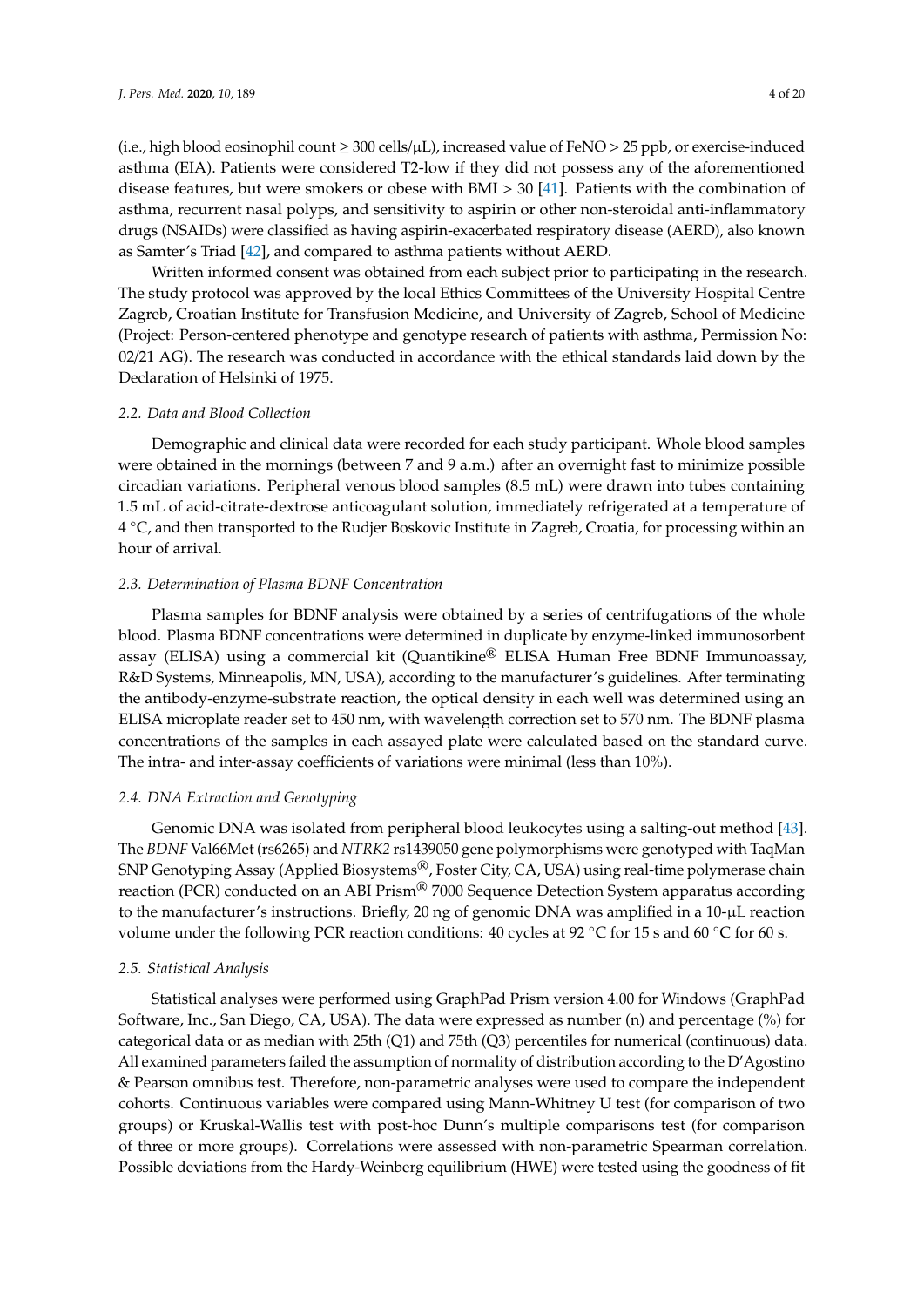(i.e., high blood eosinophil count  $\geq 300$  cells/ $\mu$ L), increased value of FeNO  $> 25$  ppb, or exercise-induced asthma (EIA). Patients were considered T2-low if they did not possess any of the aforementioned disease features, but were smokers or obese with BMI > 30 [\[41\]](#page-16-12). Patients with the combination of asthma, recurrent nasal polyps, and sensitivity to aspirin or other non-steroidal anti-inflammatory drugs (NSAIDs) were classified as having aspirin-exacerbated respiratory disease (AERD), also known as Samter's Triad [\[42\]](#page-16-13), and compared to asthma patients without AERD.

Written informed consent was obtained from each subject prior to participating in the research. The study protocol was approved by the local Ethics Committees of the University Hospital Centre Zagreb, Croatian Institute for Transfusion Medicine, and University of Zagreb, School of Medicine (Project: Person-centered phenotype and genotype research of patients with asthma, Permission No: 02/21 AG). The research was conducted in accordance with the ethical standards laid down by the Declaration of Helsinki of 1975.

### *2.2. Data and Blood Collection*

Demographic and clinical data were recorded for each study participant. Whole blood samples were obtained in the mornings (between 7 and 9 a.m.) after an overnight fast to minimize possible circadian variations. Peripheral venous blood samples (8.5 mL) were drawn into tubes containing 1.5 mL of acid-citrate-dextrose anticoagulant solution, immediately refrigerated at a temperature of 4 ◦C, and then transported to the Rudjer Boskovic Institute in Zagreb, Croatia, for processing within an hour of arrival.

## *2.3. Determination of Plasma BDNF Concentration*

Plasma samples for BDNF analysis were obtained by a series of centrifugations of the whole blood. Plasma BDNF concentrations were determined in duplicate by enzyme-linked immunosorbent assay (ELISA) using a commercial kit (Quantikine® ELISA Human Free BDNF Immunoassay, R&D Systems, Minneapolis, MN, USA), according to the manufacturer's guidelines. After terminating the antibody-enzyme-substrate reaction, the optical density in each well was determined using an ELISA microplate reader set to 450 nm, with wavelength correction set to 570 nm. The BDNF plasma concentrations of the samples in each assayed plate were calculated based on the standard curve. The intra- and inter-assay coefficients of variations were minimal (less than 10%).

## *2.4. DNA Extraction and Genotyping*

Genomic DNA was isolated from peripheral blood leukocytes using a salting-out method [\[43\]](#page-16-14). The *BDNF* Val66Met (rs6265) and *NTRK2* rs1439050 gene polymorphisms were genotyped with TaqMan SNP Genotyping Assay (Applied Biosystems<sup>®</sup>, Foster City, CA, USA) using real-time polymerase chain reaction (PCR) conducted on an ABI Prism<sup>®</sup> 7000 Sequence Detection System apparatus according to the manufacturer's instructions. Briefly, 20 ng of genomic DNA was amplified in a  $10$ - $\mu$ L reaction volume under the following PCR reaction conditions: 40 cycles at 92 ℃ for 15 s and 60 °C for 60 s.

#### *2.5. Statistical Analysis*

Statistical analyses were performed using GraphPad Prism version 4.00 for Windows (GraphPad Software, Inc., San Diego, CA, USA). The data were expressed as number (n) and percentage (%) for categorical data or as median with 25th (Q1) and 75th (Q3) percentiles for numerical (continuous) data. All examined parameters failed the assumption of normality of distribution according to the D'Agostino & Pearson omnibus test. Therefore, non-parametric analyses were used to compare the independent cohorts. Continuous variables were compared using Mann-Whitney U test (for comparison of two groups) or Kruskal-Wallis test with post-hoc Dunn's multiple comparisons test (for comparison of three or more groups). Correlations were assessed with non-parametric Spearman correlation. Possible deviations from the Hardy-Weinberg equilibrium (HWE) were tested using the goodness of fit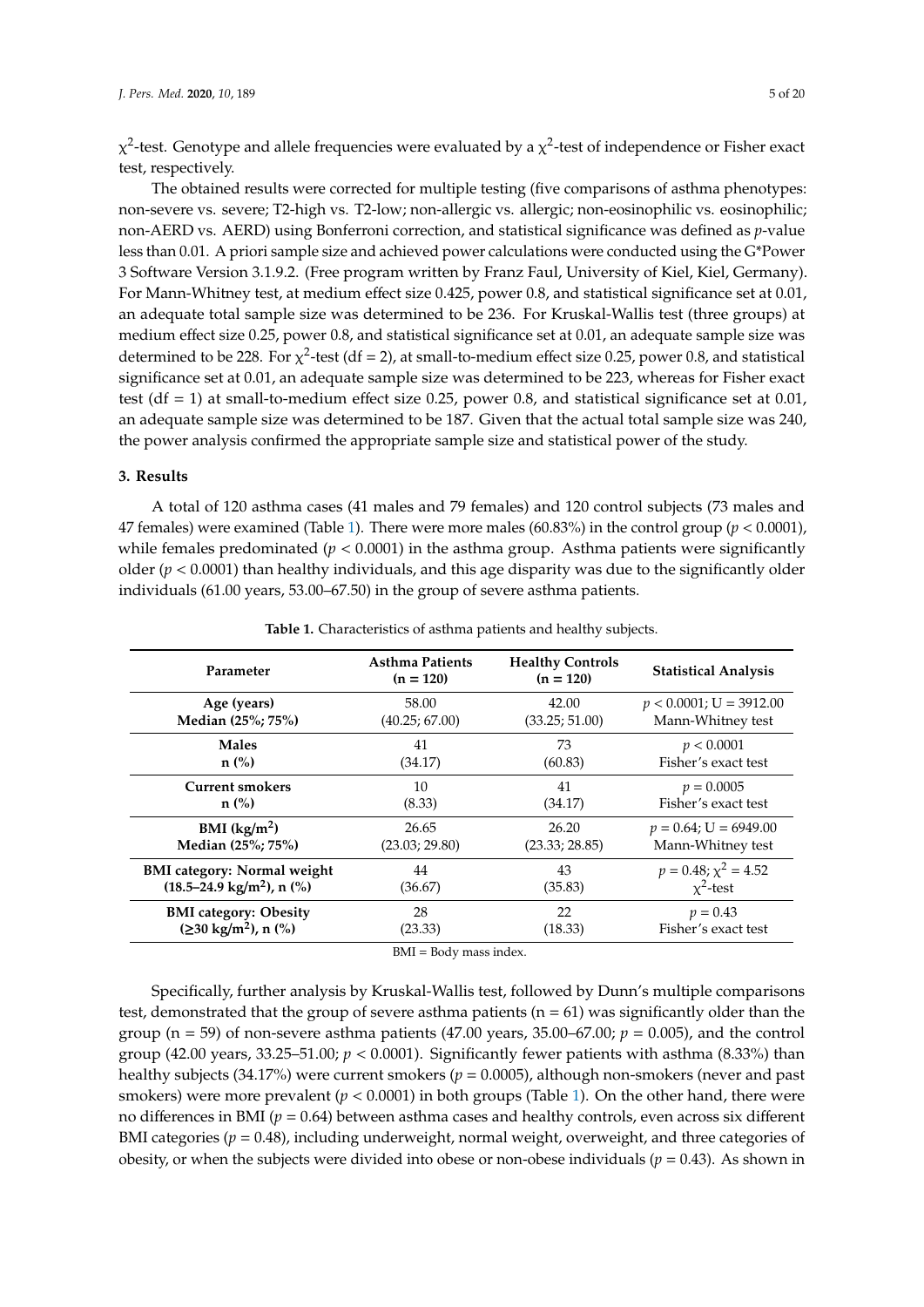$\chi^2$ -test. Genotype and allele frequencies were evaluated by a  $\chi^2$ -test of independence or Fisher exact test, respectively.

The obtained results were corrected for multiple testing (five comparisons of asthma phenotypes: non-severe vs. severe; T2-high vs. T2-low; non-allergic vs. allergic; non-eosinophilic vs. eosinophilic; non-AERD vs. AERD) using Bonferroni correction, and statistical significance was defined as *p*-value less than 0.01. A priori sample size and achieved power calculations were conducted using the G\*Power 3 Software Version 3.1.9.2. (Free program written by Franz Faul, University of Kiel, Kiel, Germany). For Mann-Whitney test, at medium effect size 0.425, power 0.8, and statistical significance set at 0.01, an adequate total sample size was determined to be 236. For Kruskal-Wallis test (three groups) at medium effect size 0.25, power 0.8, and statistical significance set at 0.01, an adequate sample size was determined to be 228. For  $\chi^2$ -test (df = 2), at small-to-medium effect size 0.25, power 0.8, and statistical significance set at 0.01, an adequate sample size was determined to be 223, whereas for Fisher exact test (df = 1) at small-to-medium effect size 0.25, power 0.8, and statistical significance set at 0.01, an adequate sample size was determined to be 187. Given that the actual total sample size was 240, the power analysis confirmed the appropriate sample size and statistical power of the study.

### **3. Results**

A total of 120 asthma cases (41 males and 79 females) and 120 control subjects (73 males and 47 females) were examined (Table [1\)](#page-4-0). There were more males (60.83%) in the control group (*p* < 0.0001), while females predominated  $(p < 0.0001)$  in the asthma group. Asthma patients were significantly older ( $p < 0.0001$ ) than healthy individuals, and this age disparity was due to the significantly older individuals (61.00 years, 53.00–67.50) in the group of severe asthma patients.

<span id="page-4-0"></span>

| Parameter                                  | <b>Asthma Patients</b><br>$(n = 120)$ | <b>Healthy Controls</b><br>$(n = 120)$ | <b>Statistical Analysis</b> |
|--------------------------------------------|---------------------------------------|----------------------------------------|-----------------------------|
| Age (years)                                | 58.00                                 | 42.00                                  | $p < 0.0001$ ; U = 3912.00  |
| Median (25%; 75%)                          | (40.25; 67.00)                        | (33.25; 51.00)                         | Mann-Whitney test           |
| <b>Males</b>                               | 41                                    | 73                                     | p < 0.0001                  |
| $n$ (%)                                    | (34.17)                               | (60.83)                                | Fisher's exact test         |
| <b>Current smokers</b>                     | 10                                    | 41                                     | $p = 0.0005$                |
| $n$ (%)                                    | (8.33)                                | (34.17)                                | Fisher's exact test         |
| BMI $(kg/m2)$                              | 26.65                                 | 26.20                                  | $p = 0.64$ ; U = 6949.00    |
| Median (25%; 75%)                          | (23.03; 29.80)                        | (23.33; 28.85)                         | Mann-Whitney test           |
| <b>BMI</b> category: Normal weight         | 44                                    | 43                                     | $p = 0.48; \chi^2 = 4.52$   |
| $(18.5-24.9 \text{ kg/m}^2)$ , n $(\%)$    | (36.67)                               | (35.83)                                | $x^2$ -test                 |
| <b>BMI</b> category: Obesity               | 28                                    | 22                                     | $p = 0.43$                  |
| $(230 \text{ kg/m}^2)$ , n $\frac{\%}{\%}$ | (23.33)                               | (18.33)                                | Fisher's exact test         |

**Table 1.** Characteristics of asthma patients and healthy subjects.

BMI = Body mass index.

Specifically, further analysis by Kruskal-Wallis test, followed by Dunn's multiple comparisons test, demonstrated that the group of severe asthma patients  $(n = 61)$  was significantly older than the group ( $n = 59$ ) of non-severe asthma patients (47.00 years, 35.00–67.00;  $p = 0.005$ ), and the control group (42.00 years, 33.25–51.00;  $p < 0.0001$ ). Significantly fewer patients with asthma (8.33%) than healthy subjects (34.17%) were current smokers (*p* = 0.0005), although non-smokers (never and past smokers) were more prevalent ( $p < 0.0001$ ) in both groups (Table [1\)](#page-4-0). On the other hand, there were no differences in BMI (*p* = 0.64) between asthma cases and healthy controls, even across six different BMI categories ( $p = 0.48$ ), including underweight, normal weight, overweight, and three categories of obesity, or when the subjects were divided into obese or non-obese individuals (*p* = 0.43). As shown in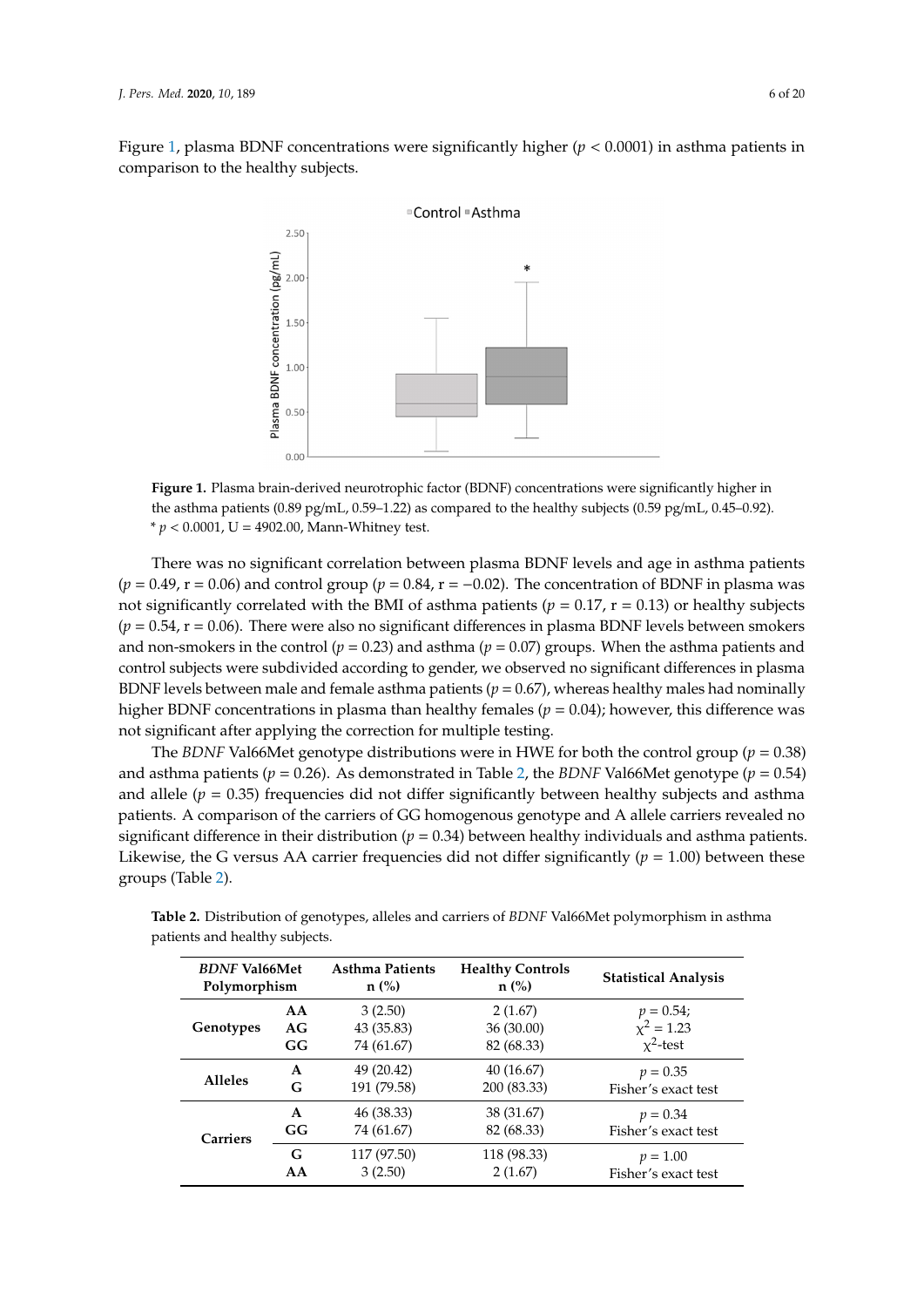<span id="page-5-0"></span>Figure [1,](#page-5-0) plasma BDNF concentrations were significantly higher  $(p < 0.0001)$  in asthma patients in comparison to the healthy subjects.



**Figure 1.** Plasma brain-derived neurotrophic factor (BDNF) concentrations were significantly higher **Figure 1.** Plasma brain-derived neurotrophic factor (BDNF) concentrations were significantly higher in the asthma patients (0.89 pg/mL, 0.59–1.22) as compared to the healthy subjects (0.59 pg/mL, 0.45–0.92). 0.92). \* *p* < 0.0001, U = 4902.00, Mann-Whitney test. \* *p* < 0.0001, U = 4902.00, Mann-Whitney test.

( $p = 0.49$ ,  $r = 0.06$ ) and control group ( $p = 0.84$ ,  $r = -0.02$ ). The concentration of BDNF in plasma was  $(p = 0.49, r = 0.06)$  and control group ( $p = 0.04, r = -0.02$ ). The concentration of BBNF in plasma was not significantly correlated with the BMI of asthma patients ( $p = 0.17, r = 0.13$ ) or healthy subjects  $(p = 0.54, r = 0.06)$ . There were also no significant differences in plasma BDNF levels between smokers  $\phi = 0.54, t = 0.06$ . There were also no significant differences in plasma BDNF levels between smokers and and non-smokers in the control ( $p = 0.23$ ) and asthma ( $p = 0.07$ ) groups. When the asthma patients and control subjects were subdivided according to gender, we observed no significant differences in plasma<br>PDNEU BDNF levels between male and female asthma patients ( $p = 0.67$ ), whereas healthy males had nominally  $\frac{1}{p}$ higher BDNF concentrations in plasma than healthy females ( $p = 0.04$ ); however, this difference was not significant after applying the correction for multiple testing.<br>  $\Gamma$  applying the correction for multiple testing. There was no significant correlation between plasma BDNF levels and age in asthma patients

The *BDNF* Val66Met genotype distributions were in HWE for both the control group (*p* = 0.38) The *BDNF* Val66Met genotype distributions were in HWE for both the control group (*p* = 0.38) and asthma patients ( $p = 0.26$ ). As demonstrated in Table [2,](#page-5-1) the *BDNF* Val66Met genotype ( $p = 0.54$ ) and allele  $(p = 0.35)$  frequencies did not differ significantly between healthy subjects and asthma patients. A comparison of the carriers of GG homogenous genotype and A allele carriers revealed no patients. A comparison of the carriers of GG homogenous genotype and A allele carriers revealed no significant difference in their distribution (*p* = 0.34) between healthy individuals and asthma patients. significant difference in their distribution (*p* = 0.34) between healthy individuals and asthma patients. Likewise, the G versus AA carrier frequencies did not differ significantly ( $p = 1.00$ ) between these groups (Table 2). groups (Table [2\)](#page-5-1).

| <b>BDNF Val66Met</b><br>Polymorphism |              | <b>Asthma Patients</b><br>$n$ (%) | <b>Healthy Controls</b><br>$n$ (%) | <b>Statistical Analysis</b> |
|--------------------------------------|--------------|-----------------------------------|------------------------------------|-----------------------------|
|                                      | AA           | 3(2.50)                           | 2(1.67)                            |                             |
| Genotypes                            | AG           | 43 (35.83)                        | 36(30.00)                          | $p = 0.54;$<br>$x^2 = 1.23$ |
|                                      | GG           | 74 (61.67)                        | 82 (68.33)                         | $x^2$ -test                 |
| <b>Alleles</b>                       | A            | 49 (20.42)                        | 40 (16.67)                         | $p = 0.35$                  |
|                                      | G            | 191 (79.58)                       | 200 (83.33)                        | Fisher's exact test         |
|                                      | $\mathbf{A}$ | 46 (38.33)                        | 38 (31.67)                         | $p = 0.34$                  |
| Carriers                             | GG           | 74 (61.67)                        | 82 (68.33)                         | Fisher's exact test         |
|                                      | G            | 117 (97.50)                       | 118 (98.33)                        | $p = 1.00$                  |
|                                      | AA           | 3(2.50)                           | 2(1.67)                            | Fisher's exact test         |

<span id="page-5-1"></span>**Table 2.** Distribution of genotypes, alleles and carriers of *BDNF* Val66Met polymorphism in asthma **Table 2.** Distribution of genotypes, alleles and carriers of *BDNF* Val66Met polymorphism in asthma patients and healthy subjects. patients and healthy subjects.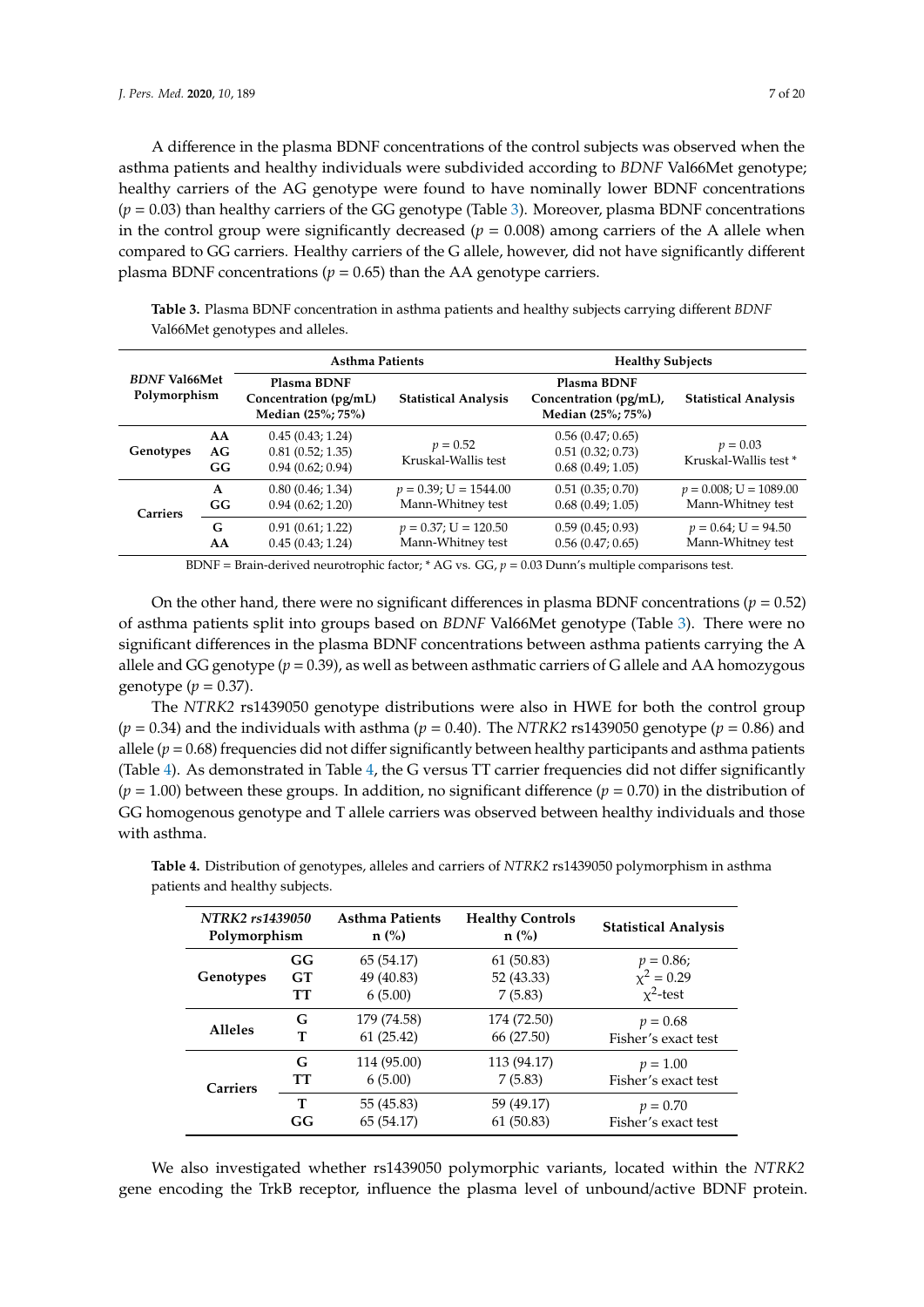A difference in the plasma BDNF concentrations of the control subjects was observed when the asthma patients and healthy individuals were subdivided according to *BDNF* Val66Met genotype; healthy carriers of the AG genotype were found to have nominally lower BDNF concentrations (*p* = 0.03) than healthy carriers of the GG genotype (Table [3\)](#page-6-0). Moreover, plasma BDNF concentrations in the control group were significantly decreased  $(p = 0.008)$  among carriers of the A allele when compared to GG carriers. Healthy carriers of the G allele, however, did not have significantly different plasma BDNF concentrations ( $p = 0.65$ ) than the AA genotype carriers.

|                                      |                | <b>Asthma Patients</b>                                    |                                               | <b>Healthy Subjects</b>                                    |                                                |  |
|--------------------------------------|----------------|-----------------------------------------------------------|-----------------------------------------------|------------------------------------------------------------|------------------------------------------------|--|
| <b>BDNF Val66Met</b><br>Polymorphism |                | Plasma BDNF<br>Concentration (pg/mL)<br>Median (25%; 75%) | <b>Statistical Analysis</b>                   | Plasma BDNF<br>Concentration (pg/mL),<br>Median (25%; 75%) | <b>Statistical Analysis</b>                    |  |
| Genotypes                            | AA<br>AG<br>GG | 0.45(0.43; 1.24)<br>0.81(0.52; 1.35)<br>0.94(0.62; 0.94)  | $p = 0.52$<br>Kruskal-Wallis test             | 0.56(0.47; 0.65)<br>0.51(0.32; 0.73)<br>0.68(0.49; 1.05)   | $p = 0.03$<br>Kruskal-Wallis test *            |  |
| Carriers                             | A<br>GG        | 0.80(0.46; 1.34)<br>0.94(0.62; 1.20)                      | $p = 0.39$ ; U = 1544.00<br>Mann-Whitney test | 0.51(0.35; 0.70)<br>0.68(0.49; 1.05)                       | $p = 0.008$ ; U = 1089.00<br>Mann-Whitney test |  |
|                                      | G<br>AA        | 0.91(0.61; 1.22)<br>0.45(0.43; 1.24)                      | $p = 0.37$ ; U = 120.50<br>Mann-Whitney test  | 0.59(0.45; 0.93)<br>0.56(0.47; 0.65)                       | $p = 0.64$ ; U = 94.50<br>Mann-Whitney test    |  |

<span id="page-6-0"></span>**Table 3.** Plasma BDNF concentration in asthma patients and healthy subjects carrying different *BDNF* Val66Met genotypes and alleles.

BDNF = Brain-derived neurotrophic factor; \* AG vs. GG, *p* = 0.03 Dunn's multiple comparisons test.

On the other hand, there were no significant differences in plasma BDNF concentrations ( $p = 0.52$ ) of asthma patients split into groups based on *BDNF* Val66Met genotype (Table [3\)](#page-6-0). There were no significant differences in the plasma BDNF concentrations between asthma patients carrying the A allele and GG genotype (*p* = 0.39), as well as between asthmatic carriers of G allele and AA homozygous genotype  $(p = 0.37)$ .

The *NTRK2* rs1439050 genotype distributions were also in HWE for both the control group  $(p = 0.34)$  and the individuals with asthma  $(p = 0.40)$ . The *NTRK2* rs1439050 genotype  $(p = 0.86)$  and allele ( $p = 0.68$ ) frequencies did not differ significantly between healthy participants and asthma patients (Table [4\)](#page-6-1). As demonstrated in Table [4,](#page-6-1) the G versus TT carrier frequencies did not differ significantly  $(p = 1.00)$  between these groups. In addition, no significant difference  $(p = 0.70)$  in the distribution of GG homogenous genotype and T allele carriers was observed between healthy individuals and those with asthma.

| NTRK2 rs1439050<br>Polymorphism |           | <b>Asthma Patients</b><br>$n$ (%) | <b>Healthy Controls</b><br>$n$ (%) | <b>Statistical Analysis</b> |
|---------------------------------|-----------|-----------------------------------|------------------------------------|-----------------------------|
| Genotypes                       | GG        | 65 (54.17)                        | 61(50.83)                          | $p = 0.86;$                 |
|                                 | <b>GT</b> | 49 (40.83)                        | 52 (43.33)                         | $\chi^2 = 0.29$             |
|                                 | TT        | 6(5.00)                           | 7(5.83)                            | $x^2$ -test                 |
| <b>Alleles</b>                  | G         | 179 (74.58)                       | 174 (72.50)                        | $p = 0.68$                  |
|                                 | т         | 61(25.42)                         | 66 (27.50)                         | Fisher's exact test         |
| <b>Carriers</b>                 | G         | 114 (95.00)                       | 113 (94.17)                        | $p = 1.00$                  |
|                                 | TT        | 6(5.00)                           | 7(5.83)                            | Fisher's exact test         |
|                                 | т         | 55 (45.83)                        | 59 (49.17)                         | $p = 0.70$                  |
|                                 | GG        | 65 (54.17)                        | 61(50.83)                          | Fisher's exact test         |

<span id="page-6-1"></span>**Table 4.** Distribution of genotypes, alleles and carriers of *NTRK2* rs1439050 polymorphism in asthma patients and healthy subjects.

We also investigated whether rs1439050 polymorphic variants, located within the *NTRK2* gene encoding the TrkB receptor, influence the plasma level of unbound/active BDNF protein.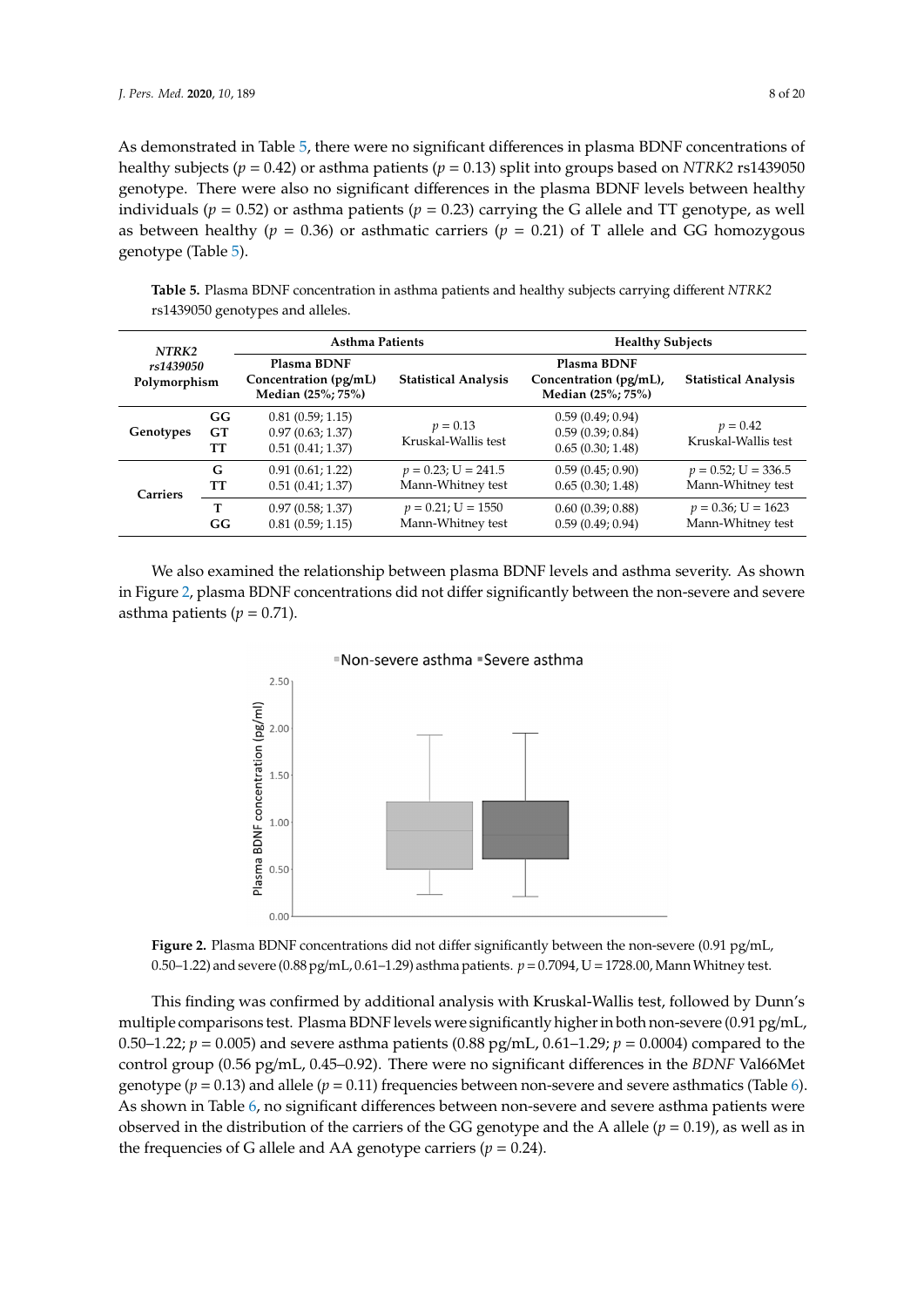As demonstrated in Table [5,](#page-7-0) there were no significant differences in plasma BDNF concentrations of healthy subjects ( $p = 0.42$ ) or asthma patients ( $p = 0.13$ ) split into groups based on *NTRK2* rs1439050 genotype. There were also no significant differences in the plasma BDNF levels between healthy individuals ( $p = 0.52$ ) or asthma patients ( $p = 0.23$ ) carrying the G allele and TT genotype, as well as between healthy ( $p = 0.36$ ) or asthmatic carriers ( $p = 0.21$ ) of T allele and GG homozygous genotype (Table [5\)](#page-7-0). There were also no significant differences in the plasma BDNF levels between healthy individuals (*p* = As demonstrated in Table *J*, there were no significant underences in plasma DDIVI<sup>,</sup> concentrations of

<span id="page-7-0"></span>**Table 5.** Plasma BDNF concentration in asthma patients and healthy subjects carrying different *NTRK2 rs1439050*  **Plasma BDNF Statistical Plasma BDNF Statistical**  rs1439050 genotypes and alleles. **Median (25%; 75%) Concentration (pg/mL),** 

| NTRK <sub>2</sub><br>rs1439050<br>Polymorphism |                | <b>Asthma Patients</b>                                    |                                             | <b>Healthy Subjects</b>                                    |                                             |
|------------------------------------------------|----------------|-----------------------------------------------------------|---------------------------------------------|------------------------------------------------------------|---------------------------------------------|
|                                                |                | Plasma BDNF<br>Concentration (pg/mL)<br>Median (25%; 75%) | <b>Statistical Analysis</b>                 | Plasma BDNF<br>Concentration (pg/mL),<br>Median (25%; 75%) | <b>Statistical Analysis</b>                 |
| Genotypes                                      | GG<br>GT<br>TT | 0.81(0.59; 1.15)<br>0.97(0.63; 1.37)<br>0.51(0.41; 1.37)  | $p = 0.13$<br>Kruskal-Wallis test           | 0.59(0.49; 0.94)<br>0.59(0.39; 0.84)<br>0.65(0.30; 1.48)   | $p = 0.42$<br>Kruskal-Wallis test           |
| <b>Carriers</b>                                | G<br>TT        | 0.91(0.61; 1.22)<br>0.51(0.41; 1.37)                      | $p = 0.23$ ; U = 241.5<br>Mann-Whitney test | 0.59(0.45; 0.90)<br>0.65(0.30; 1.48)                       | $p = 0.52$ ; U = 336.5<br>Mann-Whitney test |
|                                                | т<br>GG        | 0.97(0.58; 1.37)<br>0.81(0.59; 1.15)                      | $p = 0.21$ ; U = 1550<br>Mann-Whitney test  | 0.60(0.39; 0.88)<br>0.59(0.49; 0.94)                       | $p = 0.36$ ; U = 1623<br>Mann-Whitney test  |

<span id="page-7-1"></span>We also examined the relationship between plasma BDNF levels and asthma severity. As shown We also examined the relationship between plasma BDNF levels and asthma severity. As shown in Figure [2](#page-7-1), plasma BDNF concentrations did not differ significantly between the non-severe and severe asthma patients ( $p = 0.71$ ).



■Non-severe asthma ■Severe asthma

**Figure 2.** Plasma BDNF concentrations did not differ significantly between the non-severe (0.91 pg/mL, and a non-severe (0.91 pg/mL, 0.50–1.22) and severe (0.88 pg/mL, 0.61–1.29) asthma patients. *p* = 0.7094, U = 1728.00, Mann Whitney test. 0.50–1.22) and severe (0.88 pg/mL, 0.61–1.29) asthma patients. *p*=0.7094, U =1728.00, MannWhitney test.

multiple comparisons test. Plasma BDNF levels were significantly higher in both non-severe (0.91 pg/mL, 0.50–1.22;  $p = 0.005$ ) and severe asthma patients (0.88 pg/mL, 0.61–1.29;  $p = 0.0004$ ) compared to the pg/mL, 0.50–1.22; *p* = 0.005) and severe asthma patients (0.88 pg/mL, 0.61–1.29; *p* = 0.0004) compared control group (0.56 pg/mL, 0.45–0.92). There were no significant differences in the *BDNF* Val66Met genotype  $(p = 0.13)$  and allele  $(p = 0.11)$  frequencies between non-severe and severe asthmatics (Table [6\)](#page-8-0). As shown in Table [6,](#page-8-0) no significant differences between non-severe and severe asthma patients were as the contract of the state  $\frac{1}{2}$  is  $\frac{1}{2}$  is  $\frac{1}{2}$  is  $\frac{1}{2}$  is  $\frac{1}{2}$  is  $\frac{1}{2}$  is  $\frac{1}{2}$  is  $\frac{1}{2}$  is  $\frac{1}{2}$  is  $\frac{1}{2}$  is  $\frac{1}{2}$  is  $\frac{1}{2}$  is  $\frac{1}{2}$  is  $\frac{1}{2}$  is  $\frac{1}{2}$  observed in the distribution of the carriers of the GG genotype and the A allele (*p* = 0.19), as well as in the fraction of G allele and A A can string services (*n* = 0.24). the frequencies of G allele and AA genotype carriers ( $p = 0.24$ ). This finding was confirmed by additional analysis with Kruskal-Wallis test, followed by Dunn's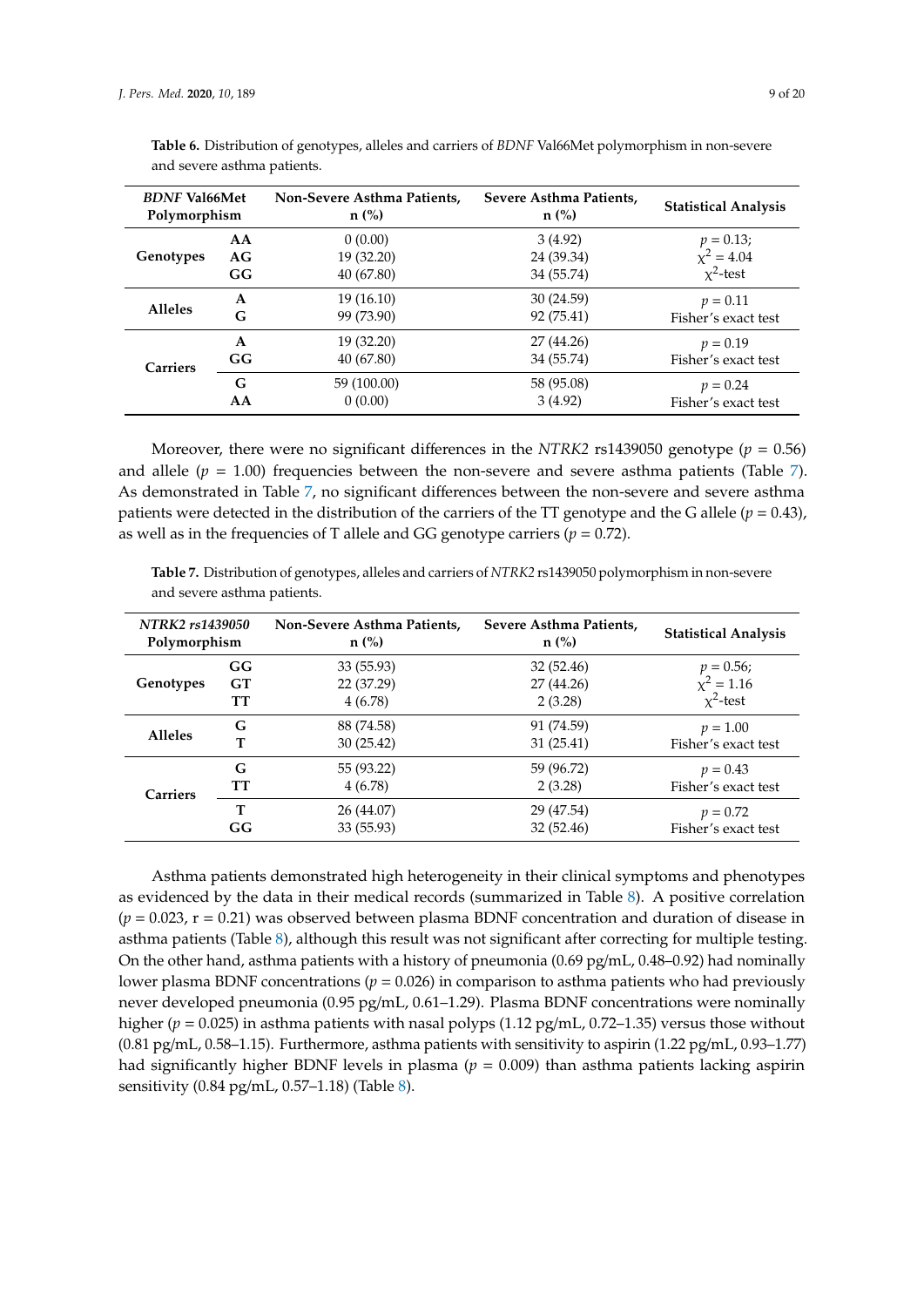| <b>BDNF Val66Met</b><br>Polymorphism |              | Non-Severe Asthma Patients,<br>$n$ (%) | Severe Asthma Patients,<br>$n$ (%) | <b>Statistical Analysis</b>    |
|--------------------------------------|--------------|----------------------------------------|------------------------------------|--------------------------------|
|                                      | AA           | 0(0.00)                                | 3(4.92)                            |                                |
| Genotypes                            | AG           | 19 (32.20)                             | 24 (39.34)                         | $p = 0.13;$<br>$\chi^2 = 4.04$ |
|                                      | GG           | 40 (67.80)                             | 34 (55.74)                         | $x^2$ -test                    |
| <b>Alleles</b>                       | $\mathbf{A}$ | 19 (16.10)                             | 30(24.59)                          | $p = 0.11$                     |
|                                      | G            | 99 (73.90)                             | 92 (75.41)                         | Fisher's exact test            |
|                                      | $\mathbf{A}$ | 19 (32.20)                             | 27 (44.26)                         | $p = 0.19$                     |
| Carriers                             | GG           | 40 (67.80)                             | 34 (55.74)                         | Fisher's exact test            |
|                                      | G            | 59 (100.00)                            | 58 (95.08)                         | $p = 0.24$                     |
|                                      | AA           | 0(0.00)                                | 3(4.92)                            | Fisher's exact test            |

<span id="page-8-0"></span>**Table 6.** Distribution of genotypes, alleles and carriers of *BDNF* Val66Met polymorphism in non-severe and severe asthma patients.

Moreover, there were no significant differences in the *NTRK2* rs1439050 genotype ( $p = 0.56$ ) and allele  $(p = 1.00)$  frequencies between the non-severe and severe asthma patients (Table [7\)](#page-8-1). As demonstrated in Table [7,](#page-8-1) no significant differences between the non-severe and severe asthma patients were detected in the distribution of the carriers of the TT genotype and the G allele ( $p = 0.43$ ), as well as in the frequencies of T allele and GG genotype carriers ( $p = 0.72$ ).

<span id="page-8-1"></span>**Table 7.** Distribution of genotypes, alleles and carriers of *NTRK2* rs1439050 polymorphism in non-severe and severe asthma patients.

| NTRK2 rs1439050<br>Polymorphism |          | Non-Severe Asthma Patients,<br>$n$ (%) | Severe Asthma Patients,<br>$n$ (%) | <b>Statistical Analysis</b> |
|---------------------------------|----------|----------------------------------------|------------------------------------|-----------------------------|
|                                 | GG       | 33(55.93)                              | 32 (52.46)                         | $p = 0.56;$<br>$x^2 = 1.16$ |
| Genotypes                       | GT<br>TT | 22 (37.29)<br>4(6.78)                  | 27 (44.26)<br>2(3.28)              | $x^2$ -test                 |
|                                 |          |                                        |                                    |                             |
| <b>Alleles</b>                  | G<br>т   | 88 (74.58)<br>30(25.42)                | 91 (74.59)<br>31(25.41)            | $p = 1.00$                  |
|                                 |          |                                        |                                    | Fisher's exact test         |
|                                 | G        | 55 (93.22)                             | 59 (96.72)                         | $p = 0.43$                  |
| <b>Carriers</b>                 | тт       | 4(6.78)                                | 2(3.28)                            | Fisher's exact test         |
|                                 | т        | 26 (44.07)                             | 29 (47.54)                         | $p = 0.72$                  |
|                                 | GG       | 33 (55.93)                             | 32 (52.46)                         | Fisher's exact test         |

Asthma patients demonstrated high heterogeneity in their clinical symptoms and phenotypes as evidenced by the data in their medical records (summarized in Table [8\)](#page-9-0). A positive correlation  $(p = 0.023, r = 0.21)$  was observed between plasma BDNF concentration and duration of disease in asthma patients (Table [8\)](#page-9-0), although this result was not significant after correcting for multiple testing. On the other hand, asthma patients with a history of pneumonia (0.69 pg/mL, 0.48–0.92) had nominally lower plasma BDNF concentrations (*p* = 0.026) in comparison to asthma patients who had previously never developed pneumonia (0.95 pg/mL, 0.61–1.29). Plasma BDNF concentrations were nominally higher ( $p = 0.025$ ) in asthma patients with nasal polyps (1.12 pg/mL, 0.72–1.35) versus those without  $(0.81 \text{ pg/mL}, 0.58-1.15)$ . Furthermore, asthma patients with sensitivity to aspirin  $(1.22 \text{ pg/mL}, 0.93-1.77)$ had significantly higher BDNF levels in plasma ( $p = 0.009$ ) than asthma patients lacking aspirin sensitivity (0.84 pg/mL, 0.57–1.18) (Table [8\)](#page-9-0).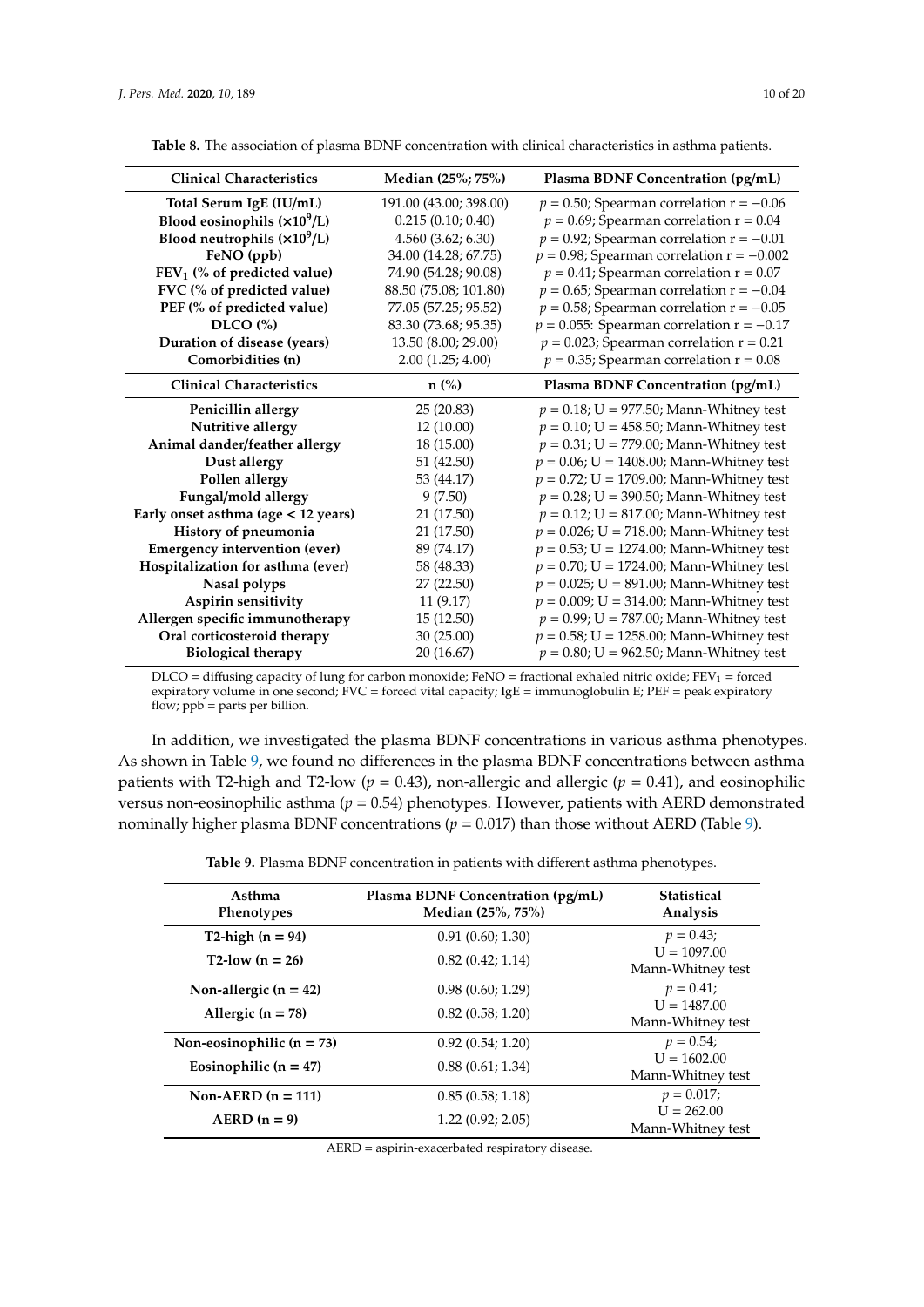| <b>Clinical Characteristics</b>      | Median (25%; 75%)      | Plasma BDNF Concentration (pg/mL)              |
|--------------------------------------|------------------------|------------------------------------------------|
| Total Serum IgE (IU/mL)              | 191.00 (43.00; 398.00) | $p = 0.50$ ; Spearman correlation $r = -0.06$  |
| Blood eosinophils $(x109/L)$         | 0.215(0.10; 0.40)      | $p = 0.69$ ; Spearman correlation $r = 0.04$   |
| Blood neutrophils $(x109/L)$         | 4.560 (3.62; 6.30)     | $p = 0.92$ ; Spearman correlation $r = -0.01$  |
| FeNO (ppb)                           | 34.00 (14.28; 67.75)   | $p = 0.98$ ; Spearman correlation $r = -0.002$ |
| $FEV1$ (% of predicted value)        | 74.90 (54.28; 90.08)   | $p = 0.41$ ; Spearman correlation $r = 0.07$   |
| FVC (% of predicted value)           | 88.50 (75.08; 101.80)  | $p = 0.65$ ; Spearman correlation $r = -0.04$  |
| PEF (% of predicted value)           | 77.05 (57.25; 95.52)   | $p = 0.58$ ; Spearman correlation $r = -0.05$  |
| $DICO$ $\left(\frac{9}{6}\right)$    | 83.30 (73.68; 95.35)   | $p = 0.055$ : Spearman correlation $r = -0.17$ |
| Duration of disease (years)          | 13.50 (8.00; 29.00)    | $p = 0.023$ ; Spearman correlation $r = 0.21$  |
| Comorbidities (n)                    | 2.00(1.25; 4.00)       | $p = 0.35$ ; Spearman correlation $r = 0.08$   |
| <b>Clinical Characteristics</b>      | $n$ (%)                | Plasma BDNF Concentration (pg/mL)              |
| Penicillin allergy                   | 25 (20.83)             | $p = 0.18$ ; U = 977.50; Mann-Whitney test     |
| Nutritive allergy                    | 12 (10.00)             | $p = 0.10$ ; U = 458.50; Mann-Whitney test     |
| Animal dander/feather allergy        | 18 (15.00)             | $p = 0.31$ ; U = 779.00; Mann-Whitney test     |
| Dust allergy                         | 51 (42.50)             | $p = 0.06$ ; U = 1408.00; Mann-Whitney test    |
| Pollen allergy                       | 53 (44.17)             | $p = 0.72$ ; U = 1709.00; Mann-Whitney test    |
| Fungal/mold allergy                  | 9(7.50)                | $p = 0.28$ ; U = 390.50; Mann-Whitney test     |
| Early onset asthma (age < 12 years)  | 21 (17.50)             | $p = 0.12$ ; U = 817.00; Mann-Whitney test     |
| History of pneumonia                 | 21 (17.50)             | $p = 0.026$ ; U = 718.00; Mann-Whitney test    |
| <b>Emergency intervention (ever)</b> | 89 (74.17)             | $p = 0.53$ ; U = 1274.00; Mann-Whitney test    |
| Hospitalization for asthma (ever)    | 58 (48.33)             | $p = 0.70$ ; U = 1724.00; Mann-Whitney test    |
| Nasal polyps                         | 27 (22.50)             | $p = 0.025$ ; U = 891.00; Mann-Whitney test    |
| Aspirin sensitivity                  | 11(9.17)               | $p = 0.009$ ; U = 314.00; Mann-Whitney test    |
| Allergen specific immunotherapy      | 15(12.50)              | $p = 0.99$ ; U = 787.00; Mann-Whitney test     |
| Oral corticosteroid therapy          | 30 (25.00)             | $p = 0.58$ ; U = 1258.00; Mann-Whitney test    |
| <b>Biological therapy</b>            | 20 (16.67)             | $p = 0.80$ ; U = 962.50; Mann-Whitney test     |

<span id="page-9-0"></span>**Table 8.** The association of plasma BDNF concentration with clinical characteristics in asthma patients.

DLCO = diffusing capacity of lung for carbon monoxide; FeNO = fractional exhaled nitric oxide; FEV<sub>1</sub> = forced expiratory volume in one second;  $FVC =$  forced vital capacity;  $IgE =$  immunoglobulin E;  $PEF =$  peak expiratory flow;  $ppb =$  parts per billion.

In addition, we investigated the plasma BDNF concentrations in various asthma phenotypes. As shown in Table [9,](#page-9-1) we found no differences in the plasma BDNF concentrations between asthma patients with T2-high and T2-low ( $p = 0.43$ ), non-allergic and allergic ( $p = 0.41$ ), and eosinophilic versus non-eosinophilic asthma (*p* = 0.54) phenotypes. However, patients with AERD demonstrated nominally higher plasma BDNF concentrations ( $p = 0.017$ ) than those without AERD (Table [9\)](#page-9-1).

**Table 9.** Plasma BDNF concentration in patients with different asthma phenotypes.

<span id="page-9-1"></span>

| Asthma<br><b>Phenotypes</b> | Plasma BDNF Concentration (pg/mL)<br>Median (25%, 75%) | <b>Statistical</b><br>Analysis     |
|-----------------------------|--------------------------------------------------------|------------------------------------|
| T2-high $(n = 94)$          | 0.91(0.60; 1.30)                                       | $p = 0.43;$                        |
| $T2$ -low $(n = 26)$        | 0.82(0.42; 1.14)                                       | $U = 1097.00$<br>Mann-Whitney test |
| Non-allergic $(n = 42)$     | 0.98(0.60; 1.29)                                       | $p = 0.41;$                        |
| Allergic $(n = 78)$         | 0.82(0.58; 1.20)                                       | $U = 1487.00$<br>Mann-Whitney test |
| Non-eosinophilic $(n = 73)$ | 0.92(0.54; 1.20)                                       | $p = 0.54$ ;                       |
| Eosinophilic $(n = 47)$     | 0.88(0.61; 1.34)                                       | $U = 1602.00$<br>Mann-Whitney test |
| Non-AERD $(n = 111)$        | 0.85(0.58; 1.18)                                       | $p = 0.017$ ;                      |
| $AERD (n = 9)$              | 1.22(0.92; 2.05)                                       | $U = 262.00$<br>Mann-Whitney test  |

AERD = aspirin-exacerbated respiratory disease.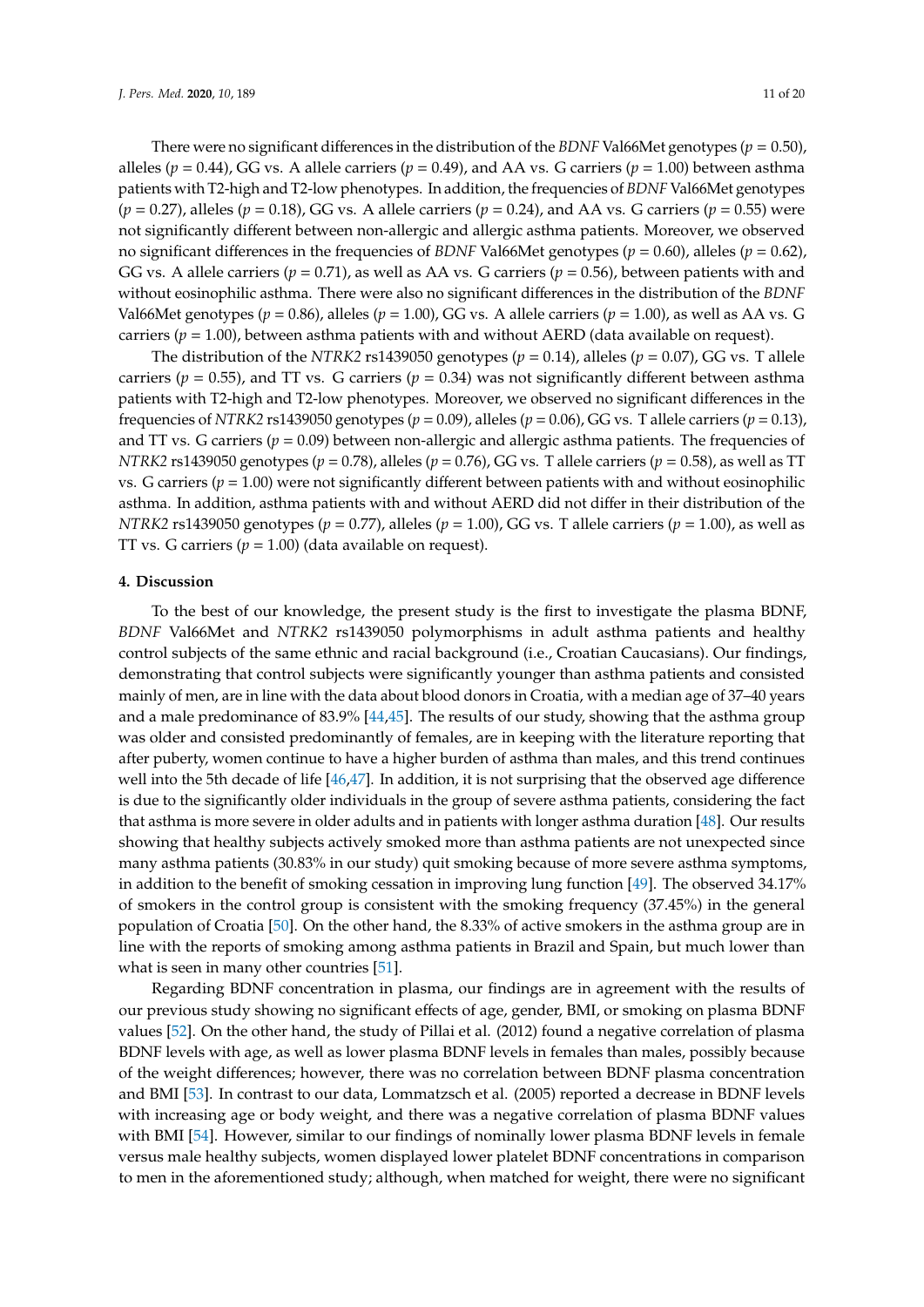There were no significant differences in the distribution of the *BDNF* Val66Met genotypes ( $p = 0.50$ ), alleles ( $p = 0.44$ ), GG vs. A allele carriers ( $p = 0.49$ ), and AA vs. G carriers ( $p = 1.00$ ) between asthma patients with T2-high and T2-low phenotypes. In addition, the frequencies of *BDNF* Val66Met genotypes  $(p = 0.27)$ , alleles  $(p = 0.18)$ , GG vs. A allele carriers  $(p = 0.24)$ , and AA vs. G carriers  $(p = 0.55)$  were not significantly different between non-allergic and allergic asthma patients. Moreover, we observed no significant differences in the frequencies of *BDNF* Val66Met genotypes (*p* = 0.60), alleles (*p* = 0.62), GG vs. A allele carriers ( $p = 0.71$ ), as well as AA vs. G carriers ( $p = 0.56$ ), between patients with and without eosinophilic asthma. There were also no significant differences in the distribution of the *BDNF* Val66Met genotypes ( $p = 0.86$ ), alleles ( $p = 1.00$ ), GG vs. A allele carriers ( $p = 1.00$ ), as well as AA vs. G carriers ( $p = 1.00$ ), between asthma patients with and without AERD (data available on request).

The distribution of the *NTRK2* rs1439050 genotypes ( $p = 0.14$ ), alleles ( $p = 0.07$ ), GG vs. T allele carriers ( $p = 0.55$ ), and TT vs. G carriers ( $p = 0.34$ ) was not significantly different between asthma patients with T2-high and T2-low phenotypes. Moreover, we observed no significant differences in the frequencies of *NTRK2* rs1439050 genotypes ( $p = 0.09$ ), alleles ( $p = 0.06$ ), GG vs. T allele carriers ( $p = 0.13$ ), and TT vs. G carriers  $(p = 0.09)$  between non-allergic and allergic asthma patients. The frequencies of *NTRK2* rs1439050 genotypes (*p* = 0.78), alleles (*p* = 0.76), GG vs. T allele carriers (*p* = 0.58), as well as TT vs. G carriers ( $p = 1.00$ ) were not significantly different between patients with and without eosinophilic asthma. In addition, asthma patients with and without AERD did not differ in their distribution of the *NTRK2* rs1439050 genotypes (*p* = 0.77), alleles (*p* = 1.00), GG vs. T allele carriers (*p* = 1.00), as well as TT vs. G carriers  $(p = 1.00)$  (data available on request).

#### **4. Discussion**

To the best of our knowledge, the present study is the first to investigate the plasma BDNF, *BDNF* Val66Met and *NTRK2* rs1439050 polymorphisms in adult asthma patients and healthy control subjects of the same ethnic and racial background (i.e., Croatian Caucasians). Our findings, demonstrating that control subjects were significantly younger than asthma patients and consisted mainly of men, are in line with the data about blood donors in Croatia, with a median age of 37–40 years and a male predominance of 83.9% [\[44](#page-16-15)[,45\]](#page-17-0). The results of our study, showing that the asthma group was older and consisted predominantly of females, are in keeping with the literature reporting that after puberty, women continue to have a higher burden of asthma than males, and this trend continues well into the 5th decade of life [\[46,](#page-17-1)[47\]](#page-17-2). In addition, it is not surprising that the observed age difference is due to the significantly older individuals in the group of severe asthma patients, considering the fact that asthma is more severe in older adults and in patients with longer asthma duration [\[48\]](#page-17-3). Our results showing that healthy subjects actively smoked more than asthma patients are not unexpected since many asthma patients (30.83% in our study) quit smoking because of more severe asthma symptoms, in addition to the benefit of smoking cessation in improving lung function [\[49\]](#page-17-4). The observed 34.17% of smokers in the control group is consistent with the smoking frequency (37.45%) in the general population of Croatia [\[50\]](#page-17-5). On the other hand, the 8.33% of active smokers in the asthma group are in line with the reports of smoking among asthma patients in Brazil and Spain, but much lower than what is seen in many other countries [\[51\]](#page-17-6).

Regarding BDNF concentration in plasma, our findings are in agreement with the results of our previous study showing no significant effects of age, gender, BMI, or smoking on plasma BDNF values [\[52\]](#page-17-7). On the other hand, the study of Pillai et al. (2012) found a negative correlation of plasma BDNF levels with age, as well as lower plasma BDNF levels in females than males, possibly because of the weight differences; however, there was no correlation between BDNF plasma concentration and BMI [\[53\]](#page-17-8). In contrast to our data, Lommatzsch et al. (2005) reported a decrease in BDNF levels with increasing age or body weight, and there was a negative correlation of plasma BDNF values with BMI [\[54\]](#page-17-9). However, similar to our findings of nominally lower plasma BDNF levels in female versus male healthy subjects, women displayed lower platelet BDNF concentrations in comparison to men in the aforementioned study; although, when matched for weight, there were no significant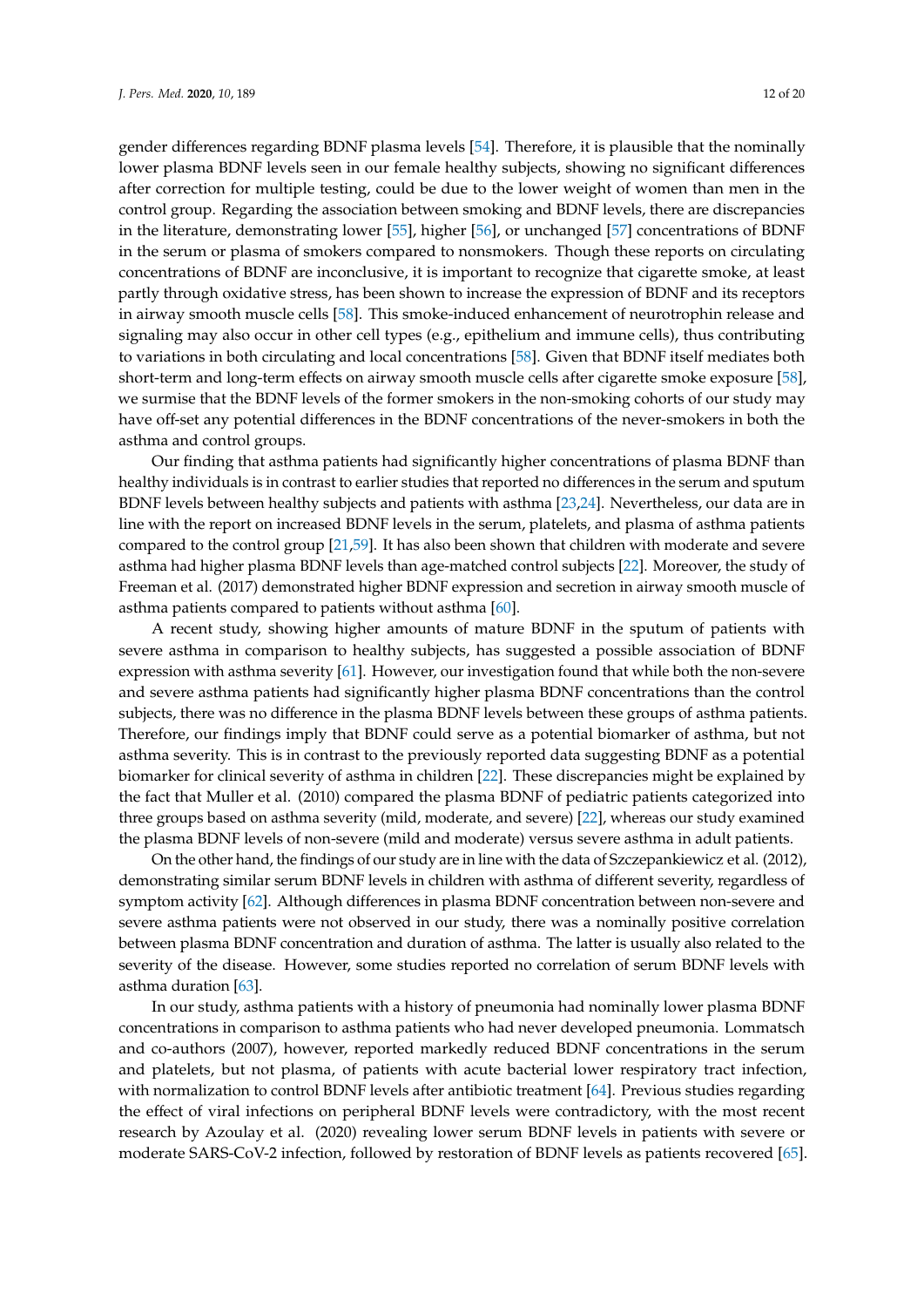gender differences regarding BDNF plasma levels [\[54\]](#page-17-9). Therefore, it is plausible that the nominally lower plasma BDNF levels seen in our female healthy subjects, showing no significant differences after correction for multiple testing, could be due to the lower weight of women than men in the control group. Regarding the association between smoking and BDNF levels, there are discrepancies in the literature, demonstrating lower [\[55\]](#page-17-10), higher [\[56\]](#page-17-11), or unchanged [\[57\]](#page-17-12) concentrations of BDNF in the serum or plasma of smokers compared to nonsmokers. Though these reports on circulating concentrations of BDNF are inconclusive, it is important to recognize that cigarette smoke, at least partly through oxidative stress, has been shown to increase the expression of BDNF and its receptors in airway smooth muscle cells [\[58\]](#page-17-13). This smoke-induced enhancement of neurotrophin release and signaling may also occur in other cell types (e.g., epithelium and immune cells), thus contributing to variations in both circulating and local concentrations [\[58\]](#page-17-13). Given that BDNF itself mediates both short-term and long-term effects on airway smooth muscle cells after cigarette smoke exposure [\[58\]](#page-17-13), we surmise that the BDNF levels of the former smokers in the non-smoking cohorts of our study may have off-set any potential differences in the BDNF concentrations of the never-smokers in both the asthma and control groups.

Our finding that asthma patients had significantly higher concentrations of plasma BDNF than healthy individuals is in contrast to earlier studies that reported no differences in the serum and sputum BDNF levels between healthy subjects and patients with asthma [\[23,](#page-15-18)[24\]](#page-15-16). Nevertheless, our data are in line with the report on increased BDNF levels in the serum, platelets, and plasma of asthma patients compared to the control group [\[21,](#page-15-15)[59\]](#page-17-14). It has also been shown that children with moderate and severe asthma had higher plasma BDNF levels than age-matched control subjects [\[22\]](#page-15-19). Moreover, the study of Freeman et al. (2017) demonstrated higher BDNF expression and secretion in airway smooth muscle of asthma patients compared to patients without asthma [\[60\]](#page-17-15).

A recent study, showing higher amounts of mature BDNF in the sputum of patients with severe asthma in comparison to healthy subjects, has suggested a possible association of BDNF expression with asthma severity [\[61\]](#page-17-16). However, our investigation found that while both the non-severe and severe asthma patients had significantly higher plasma BDNF concentrations than the control subjects, there was no difference in the plasma BDNF levels between these groups of asthma patients. Therefore, our findings imply that BDNF could serve as a potential biomarker of asthma, but not asthma severity. This is in contrast to the previously reported data suggesting BDNF as a potential biomarker for clinical severity of asthma in children [\[22\]](#page-15-19). These discrepancies might be explained by the fact that Muller et al. (2010) compared the plasma BDNF of pediatric patients categorized into three groups based on asthma severity (mild, moderate, and severe) [\[22\]](#page-15-19), whereas our study examined the plasma BDNF levels of non-severe (mild and moderate) versus severe asthma in adult patients.

On the other hand, the findings of our study are in line with the data of Szczepankiewicz et al. (2012), demonstrating similar serum BDNF levels in children with asthma of different severity, regardless of symptom activity [\[62\]](#page-17-17). Although differences in plasma BDNF concentration between non-severe and severe asthma patients were not observed in our study, there was a nominally positive correlation between plasma BDNF concentration and duration of asthma. The latter is usually also related to the severity of the disease. However, some studies reported no correlation of serum BDNF levels with asthma duration [\[63\]](#page-17-18).

In our study, asthma patients with a history of pneumonia had nominally lower plasma BDNF concentrations in comparison to asthma patients who had never developed pneumonia. Lommatsch and co-authors (2007), however, reported markedly reduced BDNF concentrations in the serum and platelets, but not plasma, of patients with acute bacterial lower respiratory tract infection, with normalization to control BDNF levels after antibiotic treatment [\[64\]](#page-17-19). Previous studies regarding the effect of viral infections on peripheral BDNF levels were contradictory, with the most recent research by Azoulay et al. (2020) revealing lower serum BDNF levels in patients with severe or moderate SARS-CoV-2 infection, followed by restoration of BDNF levels as patients recovered [\[65\]](#page-18-0).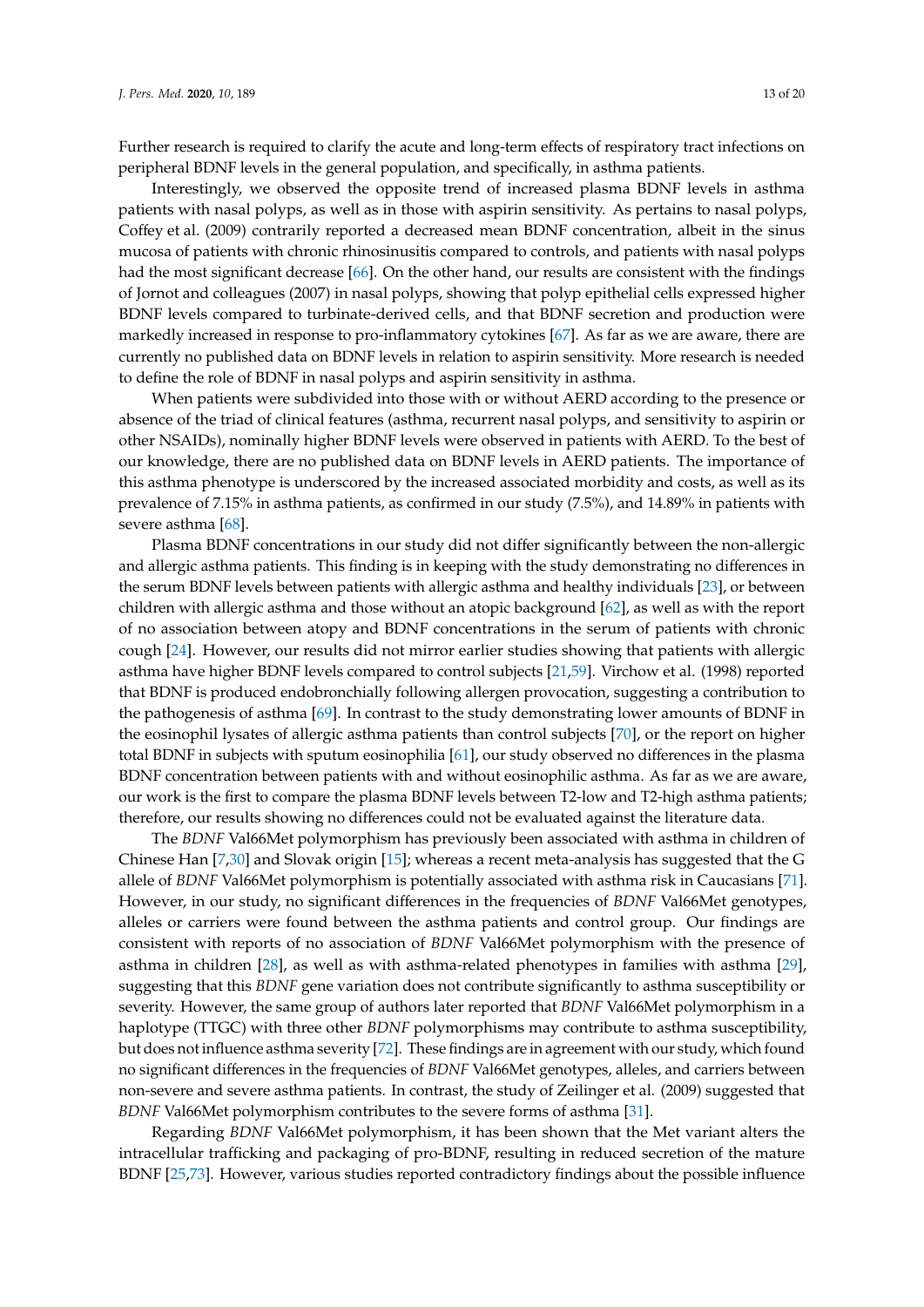Further research is required to clarify the acute and long-term effects of respiratory tract infections on peripheral BDNF levels in the general population, and specifically, in asthma patients.

Interestingly, we observed the opposite trend of increased plasma BDNF levels in asthma patients with nasal polyps, as well as in those with aspirin sensitivity. As pertains to nasal polyps, Coffey et al. (2009) contrarily reported a decreased mean BDNF concentration, albeit in the sinus mucosa of patients with chronic rhinosinusitis compared to controls, and patients with nasal polyps had the most significant decrease [\[66\]](#page-18-1). On the other hand, our results are consistent with the findings of Jornot and colleagues (2007) in nasal polyps, showing that polyp epithelial cells expressed higher BDNF levels compared to turbinate-derived cells, and that BDNF secretion and production were markedly increased in response to pro-inflammatory cytokines [\[67\]](#page-18-2). As far as we are aware, there are currently no published data on BDNF levels in relation to aspirin sensitivity. More research is needed to define the role of BDNF in nasal polyps and aspirin sensitivity in asthma.

When patients were subdivided into those with or without AERD according to the presence or absence of the triad of clinical features (asthma, recurrent nasal polyps, and sensitivity to aspirin or other NSAIDs), nominally higher BDNF levels were observed in patients with AERD. To the best of our knowledge, there are no published data on BDNF levels in AERD patients. The importance of this asthma phenotype is underscored by the increased associated morbidity and costs, as well as its prevalence of 7.15% in asthma patients, as confirmed in our study (7.5%), and 14.89% in patients with severe asthma [\[68\]](#page-18-3).

Plasma BDNF concentrations in our study did not differ significantly between the non-allergic and allergic asthma patients. This finding is in keeping with the study demonstrating no differences in the serum BDNF levels between patients with allergic asthma and healthy individuals [\[23\]](#page-15-18), or between children with allergic asthma and those without an atopic background [\[62\]](#page-17-17), as well as with the report of no association between atopy and BDNF concentrations in the serum of patients with chronic cough [\[24\]](#page-15-16). However, our results did not mirror earlier studies showing that patients with allergic asthma have higher BDNF levels compared to control subjects [\[21,](#page-15-15)[59\]](#page-17-14). Virchow et al. (1998) reported that BDNF is produced endobronchially following allergen provocation, suggesting a contribution to the pathogenesis of asthma [\[69\]](#page-18-4). In contrast to the study demonstrating lower amounts of BDNF in the eosinophil lysates of allergic asthma patients than control subjects [\[70\]](#page-18-5), or the report on higher total BDNF in subjects with sputum eosinophilia [\[61\]](#page-17-16), our study observed no differences in the plasma BDNF concentration between patients with and without eosinophilic asthma. As far as we are aware, our work is the first to compare the plasma BDNF levels between T2-low and T2-high asthma patients; therefore, our results showing no differences could not be evaluated against the literature data.

The *BDNF* Val66Met polymorphism has previously been associated with asthma in children of Chinese Han [\[7](#page-15-3)[,30\]](#page-16-16) and Slovak origin [\[15\]](#page-15-17); whereas a recent meta-analysis has suggested that the G allele of *BDNF* Val66Met polymorphism is potentially associated with asthma risk in Caucasians [\[71\]](#page-18-6). However, in our study, no significant differences in the frequencies of *BDNF* Val66Met genotypes, alleles or carriers were found between the asthma patients and control group. Our findings are consistent with reports of no association of *BDNF* Val66Met polymorphism with the presence of asthma in children [\[28\]](#page-16-3), as well as with asthma-related phenotypes in families with asthma [\[29\]](#page-16-17), suggesting that this *BDNF* gene variation does not contribute significantly to asthma susceptibility or severity. However, the same group of authors later reported that *BDNF* Val66Met polymorphism in a haplotype (TTGC) with three other *BDNF* polymorphisms may contribute to asthma susceptibility, but does not influence asthma severity [\[72\]](#page-18-7). These findings are in agreement with our study, which found no significant differences in the frequencies of *BDNF* Val66Met genotypes, alleles, and carriers between non-severe and severe asthma patients. In contrast, the study of Zeilinger et al. (2009) suggested that *BDNF* Val66Met polymorphism contributes to the severe forms of asthma [\[31\]](#page-16-18).

Regarding *BDNF* Val66Met polymorphism, it has been shown that the Met variant alters the intracellular trafficking and packaging of pro-BDNF, resulting in reduced secretion of the mature BDNF [\[25,](#page-16-0)[73\]](#page-18-8). However, various studies reported contradictory findings about the possible influence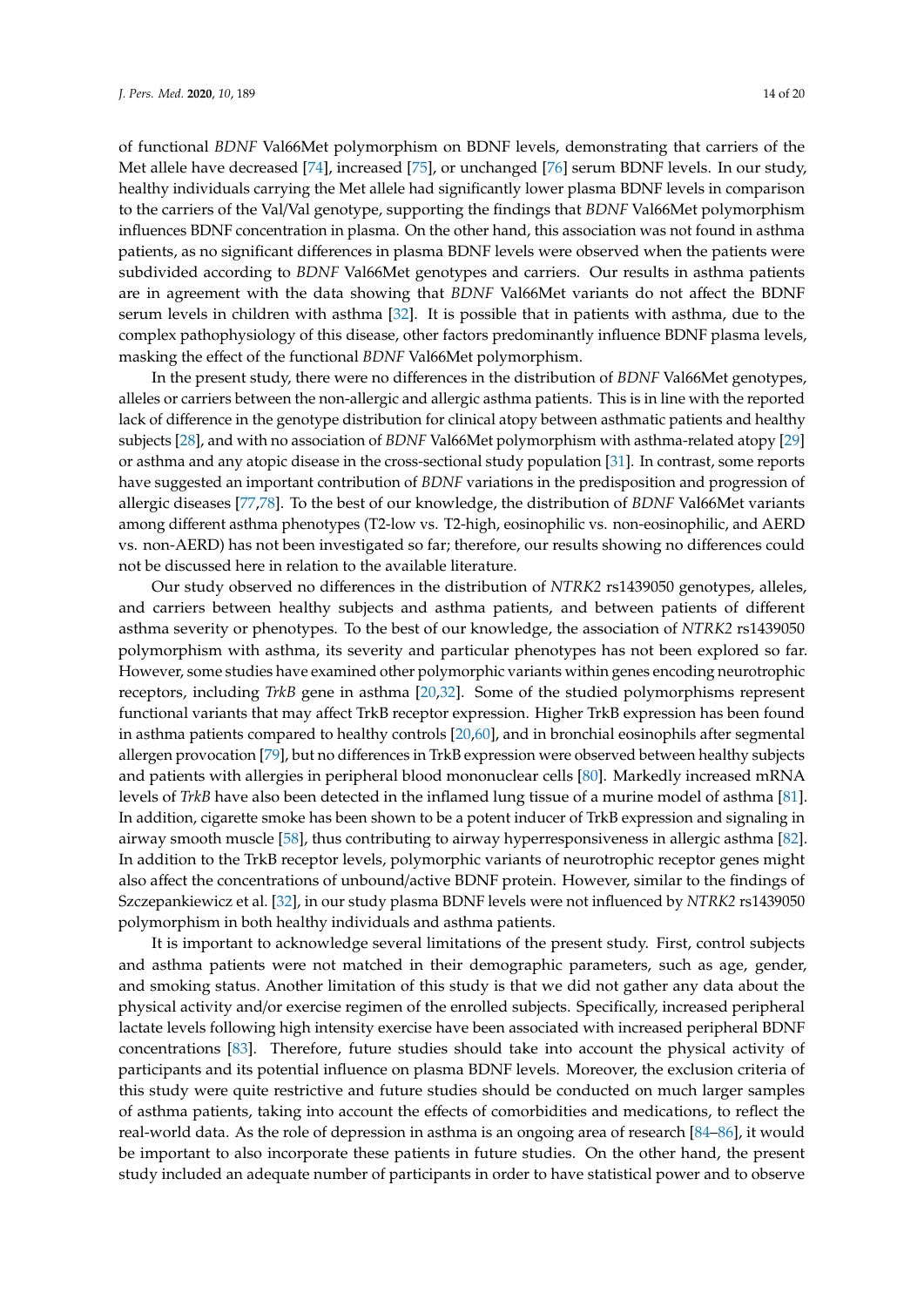of functional *BDNF* Val66Met polymorphism on BDNF levels, demonstrating that carriers of the Met allele have decreased [\[74\]](#page-18-9), increased [\[75\]](#page-18-10), or unchanged [\[76\]](#page-18-11) serum BDNF levels. In our study, healthy individuals carrying the Met allele had significantly lower plasma BDNF levels in comparison to the carriers of the Val/Val genotype, supporting the findings that *BDNF* Val66Met polymorphism influences BDNF concentration in plasma. On the other hand, this association was not found in asthma patients, as no significant differences in plasma BDNF levels were observed when the patients were subdivided according to *BDNF* Val66Met genotypes and carriers. Our results in asthma patients are in agreement with the data showing that *BDNF* Val66Met variants do not affect the BDNF serum levels in children with asthma [\[32\]](#page-16-4). It is possible that in patients with asthma, due to the complex pathophysiology of this disease, other factors predominantly influence BDNF plasma levels, masking the effect of the functional *BDNF* Val66Met polymorphism.

In the present study, there were no differences in the distribution of *BDNF* Val66Met genotypes, alleles or carriers between the non-allergic and allergic asthma patients. This is in line with the reported lack of difference in the genotype distribution for clinical atopy between asthmatic patients and healthy subjects [\[28\]](#page-16-3), and with no association of *BDNF* Val66Met polymorphism with asthma-related atopy [\[29\]](#page-16-17) or asthma and any atopic disease in the cross-sectional study population [\[31\]](#page-16-18). In contrast, some reports have suggested an important contribution of *BDNF* variations in the predisposition and progression of allergic diseases [\[77](#page-18-12)[,78\]](#page-18-13). To the best of our knowledge, the distribution of *BDNF* Val66Met variants among different asthma phenotypes (T2-low vs. T2-high, eosinophilic vs. non-eosinophilic, and AERD vs. non-AERD) has not been investigated so far; therefore, our results showing no differences could not be discussed here in relation to the available literature.

Our study observed no differences in the distribution of *NTRK2* rs1439050 genotypes, alleles, and carriers between healthy subjects and asthma patients, and between patients of different asthma severity or phenotypes. To the best of our knowledge, the association of *NTRK2* rs1439050 polymorphism with asthma, its severity and particular phenotypes has not been explored so far. However, some studies have examined other polymorphic variants within genes encoding neurotrophic receptors, including *TrkB* gene in asthma [\[20,](#page-15-14)[32\]](#page-16-4). Some of the studied polymorphisms represent functional variants that may affect TrkB receptor expression. Higher TrkB expression has been found in asthma patients compared to healthy controls [\[20,](#page-15-14)[60\]](#page-17-15), and in bronchial eosinophils after segmental allergen provocation [\[79\]](#page-18-14), but no differences in TrkB expression were observed between healthy subjects and patients with allergies in peripheral blood mononuclear cells [\[80\]](#page-18-15). Markedly increased mRNA levels of *TrkB* have also been detected in the inflamed lung tissue of a murine model of asthma [\[81\]](#page-18-16). In addition, cigarette smoke has been shown to be a potent inducer of TrkB expression and signaling in airway smooth muscle [\[58\]](#page-17-13), thus contributing to airway hyperresponsiveness in allergic asthma [\[82\]](#page-18-17). In addition to the TrkB receptor levels, polymorphic variants of neurotrophic receptor genes might also affect the concentrations of unbound/active BDNF protein. However, similar to the findings of Szczepankiewicz et al. [\[32\]](#page-16-4), in our study plasma BDNF levels were not influenced by *NTRK2* rs1439050 polymorphism in both healthy individuals and asthma patients.

It is important to acknowledge several limitations of the present study. First, control subjects and asthma patients were not matched in their demographic parameters, such as age, gender, and smoking status. Another limitation of this study is that we did not gather any data about the physical activity and/or exercise regimen of the enrolled subjects. Specifically, increased peripheral lactate levels following high intensity exercise have been associated with increased peripheral BDNF concentrations [\[83\]](#page-18-18). Therefore, future studies should take into account the physical activity of participants and its potential influence on plasma BDNF levels. Moreover, the exclusion criteria of this study were quite restrictive and future studies should be conducted on much larger samples of asthma patients, taking into account the effects of comorbidities and medications, to reflect the real-world data. As the role of depression in asthma is an ongoing area of research [\[84–](#page-19-0)[86\]](#page-19-1), it would be important to also incorporate these patients in future studies. On the other hand, the present study included an adequate number of participants in order to have statistical power and to observe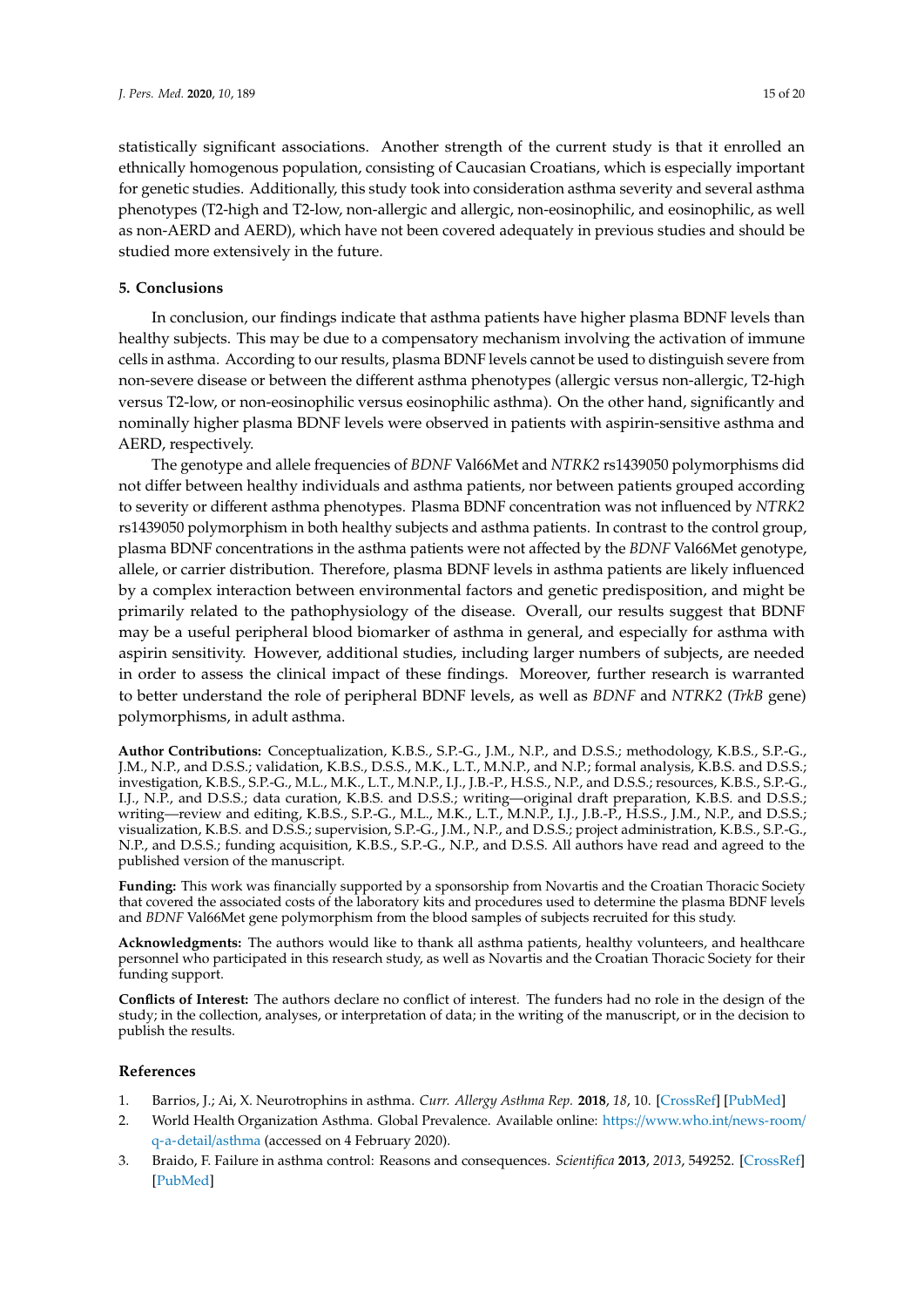statistically significant associations. Another strength of the current study is that it enrolled an ethnically homogenous population, consisting of Caucasian Croatians, which is especially important for genetic studies. Additionally, this study took into consideration asthma severity and several asthma phenotypes (T2-high and T2-low, non-allergic and allergic, non-eosinophilic, and eosinophilic, as well as non-AERD and AERD), which have not been covered adequately in previous studies and should be studied more extensively in the future.

## **5. Conclusions**

In conclusion, our findings indicate that asthma patients have higher plasma BDNF levels than healthy subjects. This may be due to a compensatory mechanism involving the activation of immune cells in asthma. According to our results, plasma BDNF levels cannot be used to distinguish severe from non-severe disease or between the different asthma phenotypes (allergic versus non-allergic, T2-high versus T2-low, or non-eosinophilic versus eosinophilic asthma). On the other hand, significantly and nominally higher plasma BDNF levels were observed in patients with aspirin-sensitive asthma and AERD, respectively.

The genotype and allele frequencies of *BDNF* Val66Met and *NTRK2* rs1439050 polymorphisms did not differ between healthy individuals and asthma patients, nor between patients grouped according to severity or different asthma phenotypes. Plasma BDNF concentration was not influenced by *NTRK2* rs1439050 polymorphism in both healthy subjects and asthma patients. In contrast to the control group, plasma BDNF concentrations in the asthma patients were not affected by the *BDNF* Val66Met genotype, allele, or carrier distribution. Therefore, plasma BDNF levels in asthma patients are likely influenced by a complex interaction between environmental factors and genetic predisposition, and might be primarily related to the pathophysiology of the disease. Overall, our results suggest that BDNF may be a useful peripheral blood biomarker of asthma in general, and especially for asthma with aspirin sensitivity. However, additional studies, including larger numbers of subjects, are needed in order to assess the clinical impact of these findings. Moreover, further research is warranted to better understand the role of peripheral BDNF levels, as well as *BDNF* and *NTRK2* (*TrkB* gene) polymorphisms, in adult asthma.

**Author Contributions:** Conceptualization, K.B.S., S.P.-G., J.M., N.P., and D.S.S.; methodology, K.B.S., S.P.-G., J.M., N.P., and D.S.S.; validation, K.B.S., D.S.S., M.K., L.T., M.N.P., and N.P.; formal analysis, K.B.S. and D.S.S.; investigation, K.B.S., S.P.-G., M.L., M.K., L.T., M.N.P., I.J., J.B.-P., H.S.S., N.P., and D.S.S.; resources, K.B.S., S.P.-G., I.J., N.P., and D.S.S.; data curation, K.B.S. and D.S.S.; writing—original draft preparation, K.B.S. and D.S.S.; writing—review and editing, K.B.S., S.P.-G., M.L., M.K., L.T., M.N.P., I.J., J.B.-P., H.S.S., J.M., N.P., and D.S.S.; visualization, K.B.S. and D.S.S.; supervision, S.P.-G., J.M., N.P., and D.S.S.; project administration, K.B.S., S.P.-G., N.P., and D.S.S.; funding acquisition, K.B.S., S.P.-G., N.P., and D.S.S. All authors have read and agreed to the published version of the manuscript.

**Funding:** This work was financially supported by a sponsorship from Novartis and the Croatian Thoracic Society that covered the associated costs of the laboratory kits and procedures used to determine the plasma BDNF levels and *BDNF* Val66Met gene polymorphism from the blood samples of subjects recruited for this study.

**Acknowledgments:** The authors would like to thank all asthma patients, healthy volunteers, and healthcare personnel who participated in this research study, as well as Novartis and the Croatian Thoracic Society for their funding support.

**Conflicts of Interest:** The authors declare no conflict of interest. The funders had no role in the design of the study; in the collection, analyses, or interpretation of data; in the writing of the manuscript, or in the decision to publish the results.

#### **References**

- <span id="page-14-0"></span>1. Barrios, J.; Ai, X. Neurotrophins in asthma. *Curr. Allergy Asthma Rep.* **2018**, *18*, 10. [\[CrossRef\]](http://dx.doi.org/10.1007/s11882-018-0765-y) [\[PubMed\]](http://www.ncbi.nlm.nih.gov/pubmed/29453651)
- <span id="page-14-1"></span>2. World Health Organization Asthma. Global Prevalence. Available online: https://[www.who.int](https://www.who.int/news-room/q-a-detail/asthma)/news-room/ [q-a-detail](https://www.who.int/news-room/q-a-detail/asthma)/asthma (accessed on 4 February 2020).
- <span id="page-14-2"></span>3. Braido, F. Failure in asthma control: Reasons and consequences. *Scientifica* **2013**, *2013*, 549252. [\[CrossRef\]](http://dx.doi.org/10.1155/2013/549252) [\[PubMed\]](http://www.ncbi.nlm.nih.gov/pubmed/24455432)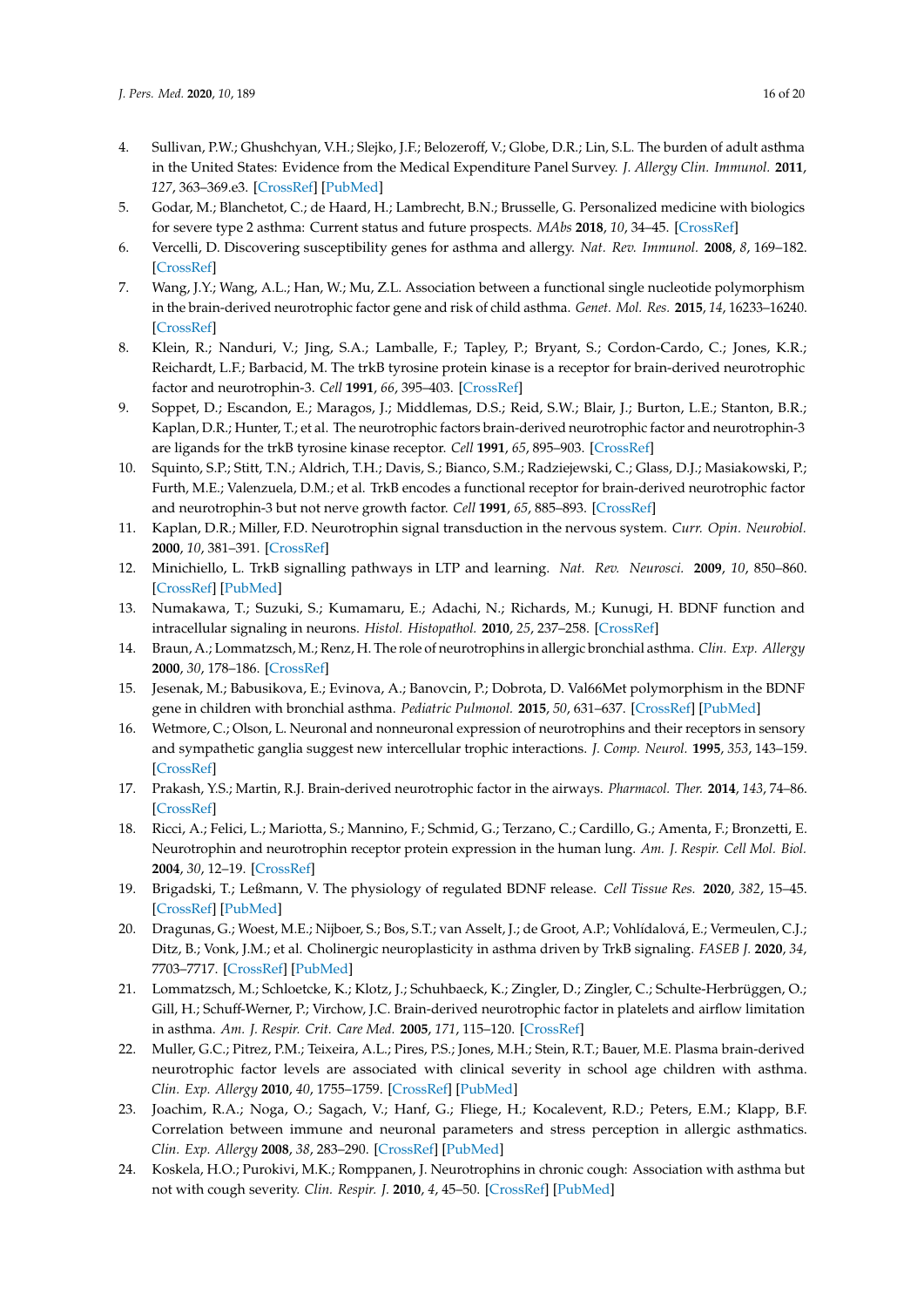- <span id="page-15-0"></span>4. Sullivan, P.W.; Ghushchyan, V.H.; Slejko, J.F.; Belozeroff, V.; Globe, D.R.; Lin, S.L. The burden of adult asthma in the United States: Evidence from the Medical Expenditure Panel Survey. *J. Allergy Clin. Immunol.* **2011**, *127*, 363–369.e3. [\[CrossRef\]](http://dx.doi.org/10.1016/j.jaci.2010.10.042) [\[PubMed\]](http://www.ncbi.nlm.nih.gov/pubmed/21281868)
- <span id="page-15-1"></span>5. Godar, M.; Blanchetot, C.; de Haard, H.; Lambrecht, B.N.; Brusselle, G. Personalized medicine with biologics for severe type 2 asthma: Current status and future prospects. *MAbs* **2018**, *10*, 34–45. [\[CrossRef\]](http://dx.doi.org/10.1080/19420862.2017.1392425)
- <span id="page-15-2"></span>6. Vercelli, D. Discovering susceptibility genes for asthma and allergy. *Nat. Rev. Immunol.* **2008**, *8*, 169–182. [\[CrossRef\]](http://dx.doi.org/10.1038/nri2257)
- <span id="page-15-3"></span>7. Wang, J.Y.; Wang, A.L.; Han, W.; Mu, Z.L. Association between a functional single nucleotide polymorphism in the brain-derived neurotrophic factor gene and risk of child asthma. *Genet. Mol. Res.* **2015**, *14*, 16233–16240. [\[CrossRef\]](http://dx.doi.org/10.4238/2015.December.8.13)
- <span id="page-15-4"></span>8. Klein, R.; Nanduri, V.; Jing, S.A.; Lamballe, F.; Tapley, P.; Bryant, S.; Cordon-Cardo, C.; Jones, K.R.; Reichardt, L.F.; Barbacid, M. The trkB tyrosine protein kinase is a receptor for brain-derived neurotrophic factor and neurotrophin-3. *Cell* **1991**, *66*, 395–403. [\[CrossRef\]](http://dx.doi.org/10.1016/0092-8674(91)90628-C)
- <span id="page-15-13"></span>9. Soppet, D.; Escandon, E.; Maragos, J.; Middlemas, D.S.; Reid, S.W.; Blair, J.; Burton, L.E.; Stanton, B.R.; Kaplan, D.R.; Hunter, T.; et al. The neurotrophic factors brain-derived neurotrophic factor and neurotrophin-3 are ligands for the trkB tyrosine kinase receptor. *Cell* **1991**, *65*, 895–903. [\[CrossRef\]](http://dx.doi.org/10.1016/0092-8674(91)90396-G)
- <span id="page-15-5"></span>10. Squinto, S.P.; Stitt, T.N.; Aldrich, T.H.; Davis, S.; Bianco, S.M.; Radziejewski, C.; Glass, D.J.; Masiakowski, P.; Furth, M.E.; Valenzuela, D.M.; et al. TrkB encodes a functional receptor for brain-derived neurotrophic factor and neurotrophin-3 but not nerve growth factor. *Cell* **1991**, *65*, 885–893. [\[CrossRef\]](http://dx.doi.org/10.1016/0092-8674(91)90395-F)
- <span id="page-15-6"></span>11. Kaplan, D.R.; Miller, F.D. Neurotrophin signal transduction in the nervous system. *Curr. Opin. Neurobiol.* **2000**, *10*, 381–391. [\[CrossRef\]](http://dx.doi.org/10.1016/S0959-4388(00)00092-1)
- 12. Minichiello, L. TrkB signalling pathways in LTP and learning. *Nat. Rev. Neurosci.* **2009**, *10*, 850–860. [\[CrossRef\]](http://dx.doi.org/10.1038/nrn2738) [\[PubMed\]](http://www.ncbi.nlm.nih.gov/pubmed/19927149)
- <span id="page-15-7"></span>13. Numakawa, T.; Suzuki, S.; Kumamaru, E.; Adachi, N.; Richards, M.; Kunugi, H. BDNF function and intracellular signaling in neurons. *Histol. Histopathol.* **2010**, *25*, 237–258. [\[CrossRef\]](http://dx.doi.org/10.14670/HH-25.237)
- <span id="page-15-8"></span>14. Braun, A.; Lommatzsch, M.; Renz, H. The role of neurotrophins in allergic bronchial asthma. *Clin. Exp. Allergy* **2000**, *30*, 178–186. [\[CrossRef\]](http://dx.doi.org/10.1046/j.1365-2222.2000.00741.x)
- <span id="page-15-17"></span>15. Jesenak, M.; Babusikova, E.; Evinova, A.; Banovcin, P.; Dobrota, D. Val66Met polymorphism in the BDNF gene in children with bronchial asthma. *Pediatric Pulmonol.* **2015**, *50*, 631–637. [\[CrossRef\]](http://dx.doi.org/10.1002/ppul.23065) [\[PubMed\]](http://www.ncbi.nlm.nih.gov/pubmed/24863266)
- <span id="page-15-9"></span>16. Wetmore, C.; Olson, L. Neuronal and nonneuronal expression of neurotrophins and their receptors in sensory and sympathetic ganglia suggest new intercellular trophic interactions. *J. Comp. Neurol.* **1995**, *353*, 143–159. [\[CrossRef\]](http://dx.doi.org/10.1002/cne.903530113)
- <span id="page-15-10"></span>17. Prakash, Y.S.; Martin, R.J. Brain-derived neurotrophic factor in the airways. *Pharmacol. Ther.* **2014**, *143*, 74–86. [\[CrossRef\]](http://dx.doi.org/10.1016/j.pharmthera.2014.02.006)
- <span id="page-15-11"></span>18. Ricci, A.; Felici, L.; Mariotta, S.; Mannino, F.; Schmid, G.; Terzano, C.; Cardillo, G.; Amenta, F.; Bronzetti, E. Neurotrophin and neurotrophin receptor protein expression in the human lung. *Am. J. Respir. Cell Mol. Biol.* **2004**, *30*, 12–19. [\[CrossRef\]](http://dx.doi.org/10.1165/rcmb.2002-0110OC)
- <span id="page-15-12"></span>19. Brigadski, T.; Leßmann, V. The physiology of regulated BDNF release. *Cell Tissue Res.* **2020**, *382*, 15–45. [\[CrossRef\]](http://dx.doi.org/10.1007/s00441-020-03253-2) [\[PubMed\]](http://www.ncbi.nlm.nih.gov/pubmed/32944867)
- <span id="page-15-14"></span>20. Dragunas, G.; Woest, M.E.; Nijboer, S.; Bos, S.T.; van Asselt, J.; de Groot, A.P.; Vohlídalová, E.; Vermeulen, C.J.; Ditz, B.; Vonk, J.M.; et al. Cholinergic neuroplasticity in asthma driven by TrkB signaling. *FASEB J.* **2020**, *34*, 7703–7717. [\[CrossRef\]](http://dx.doi.org/10.1096/fj.202000170R) [\[PubMed\]](http://www.ncbi.nlm.nih.gov/pubmed/32277855)
- <span id="page-15-15"></span>21. Lommatzsch, M.; Schloetcke, K.; Klotz, J.; Schuhbaeck, K.; Zingler, D.; Zingler, C.; Schulte-Herbrüggen, O.; Gill, H.; Schuff-Werner, P.; Virchow, J.C. Brain-derived neurotrophic factor in platelets and airflow limitation in asthma. *Am. J. Respir. Crit. Care Med.* **2005**, *171*, 115–120. [\[CrossRef\]](http://dx.doi.org/10.1164/rccm.200406-758OC)
- <span id="page-15-19"></span>22. Muller, G.C.; Pitrez, P.M.; Teixeira, A.L.; Pires, P.S.; Jones, M.H.; Stein, R.T.; Bauer, M.E. Plasma brain-derived neurotrophic factor levels are associated with clinical severity in school age children with asthma. *Clin. Exp. Allergy* **2010**, *40*, 1755–1759. [\[CrossRef\]](http://dx.doi.org/10.1111/j.1365-2222.2010.03618.x) [\[PubMed\]](http://www.ncbi.nlm.nih.gov/pubmed/20874832)
- <span id="page-15-18"></span>23. Joachim, R.A.; Noga, O.; Sagach, V.; Hanf, G.; Fliege, H.; Kocalevent, R.D.; Peters, E.M.; Klapp, B.F. Correlation between immune and neuronal parameters and stress perception in allergic asthmatics. *Clin. Exp. Allergy* **2008**, *38*, 283–290. [\[CrossRef\]](http://dx.doi.org/10.1111/j.1365-2222.2007.02899.x) [\[PubMed\]](http://www.ncbi.nlm.nih.gov/pubmed/18070153)
- <span id="page-15-16"></span>24. Koskela, H.O.; Purokivi, M.K.; Romppanen, J. Neurotrophins in chronic cough: Association with asthma but not with cough severity. *Clin. Respir. J.* **2010**, *4*, 45–50. [\[CrossRef\]](http://dx.doi.org/10.1111/j.1752-699X.2009.00143.x) [\[PubMed\]](http://www.ncbi.nlm.nih.gov/pubmed/20298417)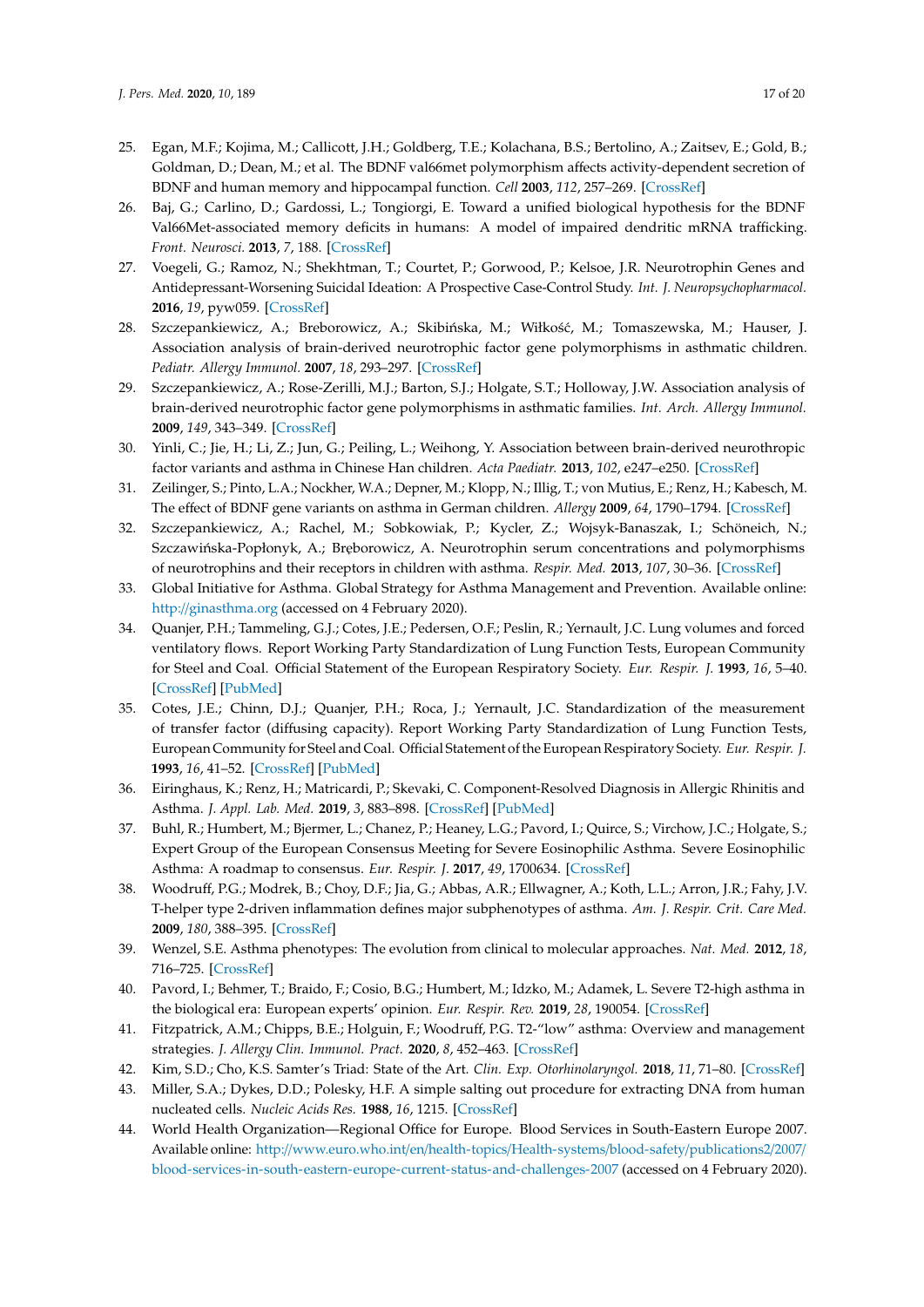- <span id="page-16-0"></span>25. Egan, M.F.; Kojima, M.; Callicott, J.H.; Goldberg, T.E.; Kolachana, B.S.; Bertolino, A.; Zaitsev, E.; Gold, B.; Goldman, D.; Dean, M.; et al. The BDNF val66met polymorphism affects activity-dependent secretion of BDNF and human memory and hippocampal function. *Cell* **2003**, *112*, 257–269. [\[CrossRef\]](http://dx.doi.org/10.1016/S0092-8674(03)00035-7)
- <span id="page-16-1"></span>26. Baj, G.; Carlino, D.; Gardossi, L.; Tongiorgi, E. Toward a unified biological hypothesis for the BDNF Val66Met-associated memory deficits in humans: A model of impaired dendritic mRNA trafficking. *Front. Neurosci.* **2013**, *7*, 188. [\[CrossRef\]](http://dx.doi.org/10.3389/fnins.2013.00188)
- <span id="page-16-2"></span>27. Voegeli, G.; Ramoz, N.; Shekhtman, T.; Courtet, P.; Gorwood, P.; Kelsoe, J.R. Neurotrophin Genes and Antidepressant-Worsening Suicidal Ideation: A Prospective Case-Control Study. *Int. J. Neuropsychopharmacol.* **2016**, *19*, pyw059. [\[CrossRef\]](http://dx.doi.org/10.1093/ijnp/pyw059)
- <span id="page-16-3"></span>28. Szczepankiewicz, A.; Breborowicz, A.; Skibińska, M.; Wiłkość, M.; Tomaszewska, M.; Hauser, J. Association analysis of brain-derived neurotrophic factor gene polymorphisms in asthmatic children. *Pediatr. Allergy Immunol.* **2007**, *18*, 293–297. [\[CrossRef\]](http://dx.doi.org/10.1111/j.1399-3038.2007.00525.x)
- <span id="page-16-17"></span>29. Szczepankiewicz, A.; Rose-Zerilli, M.J.; Barton, S.J.; Holgate, S.T.; Holloway, J.W. Association analysis of brain-derived neurotrophic factor gene polymorphisms in asthmatic families. *Int. Arch. Allergy Immunol.* **2009**, *149*, 343–349. [\[CrossRef\]](http://dx.doi.org/10.1159/000205580)
- <span id="page-16-16"></span>30. Yinli, C.; Jie, H.; Li, Z.; Jun, G.; Peiling, L.; Weihong, Y. Association between brain-derived neurothropic factor variants and asthma in Chinese Han children. *Acta Paediatr.* **2013**, *102*, e247–e250. [\[CrossRef\]](http://dx.doi.org/10.1111/apa.12224)
- <span id="page-16-18"></span>31. Zeilinger, S.; Pinto, L.A.; Nockher, W.A.; Depner, M.; Klopp, N.; Illig, T.; von Mutius, E.; Renz, H.; Kabesch, M. The effect of BDNF gene variants on asthma in German children. *Allergy* **2009**, *64*, 1790–1794. [\[CrossRef\]](http://dx.doi.org/10.1111/j.1398-9995.2009.02131.x)
- <span id="page-16-4"></span>32. Szczepankiewicz, A.; Rachel, M.; Sobkowiak, P.; Kycler, Z.; Wojsyk-Banaszak, I.; Schöneich, N.; Szczawińska-Popłonyk, A.; Bręborowicz, A. Neurotrophin serum concentrations and polymorphisms of neurotrophins and their receptors in children with asthma. *Respir. Med.* **2013**, *107*, 30–36. [\[CrossRef\]](http://dx.doi.org/10.1016/j.rmed.2012.09.024)
- <span id="page-16-5"></span>33. Global Initiative for Asthma. Global Strategy for Asthma Management and Prevention. Available online: http://[ginasthma.org](http://ginasthma.org) (accessed on 4 February 2020).
- <span id="page-16-6"></span>34. Quanjer, P.H.; Tammeling, G.J.; Cotes, J.E.; Pedersen, O.F.; Peslin, R.; Yernault, J.C. Lung volumes and forced ventilatory flows. Report Working Party Standardization of Lung Function Tests, European Community for Steel and Coal. Official Statement of the European Respiratory Society. *Eur. Respir. J.* **1993**, *16*, 5–40. [\[CrossRef\]](http://dx.doi.org/10.1183/09041950.005s1693) [\[PubMed\]](http://www.ncbi.nlm.nih.gov/pubmed/24576915)
- <span id="page-16-7"></span>35. Cotes, J.E.; Chinn, D.J.; Quanjer, P.H.; Roca, J.; Yernault, J.C. Standardization of the measurement of transfer factor (diffusing capacity). Report Working Party Standardization of Lung Function Tests, European Community for Steel and Coal. Official Statement of the European Respiratory Society. *Eur. Respir. J.* **1993**, *16*, 41–52. [\[CrossRef\]](http://dx.doi.org/10.1183/09041950.041s1693) [\[PubMed\]](http://www.ncbi.nlm.nih.gov/pubmed/24576916)
- <span id="page-16-8"></span>36. Eiringhaus, K.; Renz, H.; Matricardi, P.; Skevaki, C. Component-Resolved Diagnosis in Allergic Rhinitis and Asthma. *J. Appl. Lab. Med.* **2019**, *3*, 883–898. [\[CrossRef\]](http://dx.doi.org/10.1373/jalm.2018.026526) [\[PubMed\]](http://www.ncbi.nlm.nih.gov/pubmed/31639763)
- <span id="page-16-9"></span>37. Buhl, R.; Humbert, M.; Bjermer, L.; Chanez, P.; Heaney, L.G.; Pavord, I.; Quirce, S.; Virchow, J.C.; Holgate, S.; Expert Group of the European Consensus Meeting for Severe Eosinophilic Asthma. Severe Eosinophilic Asthma: A roadmap to consensus. *Eur. Respir. J.* **2017**, *49*, 1700634. [\[CrossRef\]](http://dx.doi.org/10.1183/13993003.00634-2017)
- <span id="page-16-10"></span>38. Woodruff, P.G.; Modrek, B.; Choy, D.F.; Jia, G.; Abbas, A.R.; Ellwagner, A.; Koth, L.L.; Arron, J.R.; Fahy, J.V. T-helper type 2-driven inflammation defines major subphenotypes of asthma. *Am. J. Respir. Crit. Care Med.* **2009**, *180*, 388–395. [\[CrossRef\]](http://dx.doi.org/10.1164/rccm.200903-0392OC)
- 39. Wenzel, S.E. Asthma phenotypes: The evolution from clinical to molecular approaches. *Nat. Med.* **2012**, *18*, 716–725. [\[CrossRef\]](http://dx.doi.org/10.1038/nm.2678)
- <span id="page-16-11"></span>40. Pavord, I.; Behmer, T.; Braido, F.; Cosio, B.G.; Humbert, M.; Idzko, M.; Adamek, L. Severe T2-high asthma in the biological era: European experts' opinion. *Eur. Respir. Rev.* **2019**, *28*, 190054. [\[CrossRef\]](http://dx.doi.org/10.1183/16000617.0054-2019)
- <span id="page-16-12"></span>41. Fitzpatrick, A.M.; Chipps, B.E.; Holguin, F.; Woodruff, P.G. T2-"low" asthma: Overview and management strategies. *J. Allergy Clin. Immunol. Pract.* **2020**, *8*, 452–463. [\[CrossRef\]](http://dx.doi.org/10.1016/j.jaip.2019.11.006)
- <span id="page-16-13"></span>42. Kim, S.D.; Cho, K.S. Samter's Triad: State of the Art. *Clin. Exp. Otorhinolaryngol.* **2018**, *11*, 71–80. [\[CrossRef\]](http://dx.doi.org/10.21053/ceo.2017.01606)
- <span id="page-16-14"></span>43. Miller, S.A.; Dykes, D.D.; Polesky, H.F. A simple salting out procedure for extracting DNA from human nucleated cells. *Nucleic Acids Res.* **1988**, *16*, 1215. [\[CrossRef\]](http://dx.doi.org/10.1093/nar/16.3.1215)
- <span id="page-16-15"></span>44. World Health Organization—Regional Office for Europe. Blood Services in South-Eastern Europe 2007. Available online: http://[www.euro.who.int](http://www.euro.who.int/en/health-topics/Health-systems/blood-safety/publications2/2007/blood-services-in-south-eastern-europe-current-status-and-challenges-2007)/en/health-topics/Health-systems/blood-safety/publications2/2007/ [blood-services-in-south-eastern-europe-current-status-and-challenges-2007](http://www.euro.who.int/en/health-topics/Health-systems/blood-safety/publications2/2007/blood-services-in-south-eastern-europe-current-status-and-challenges-2007) (accessed on 4 February 2020).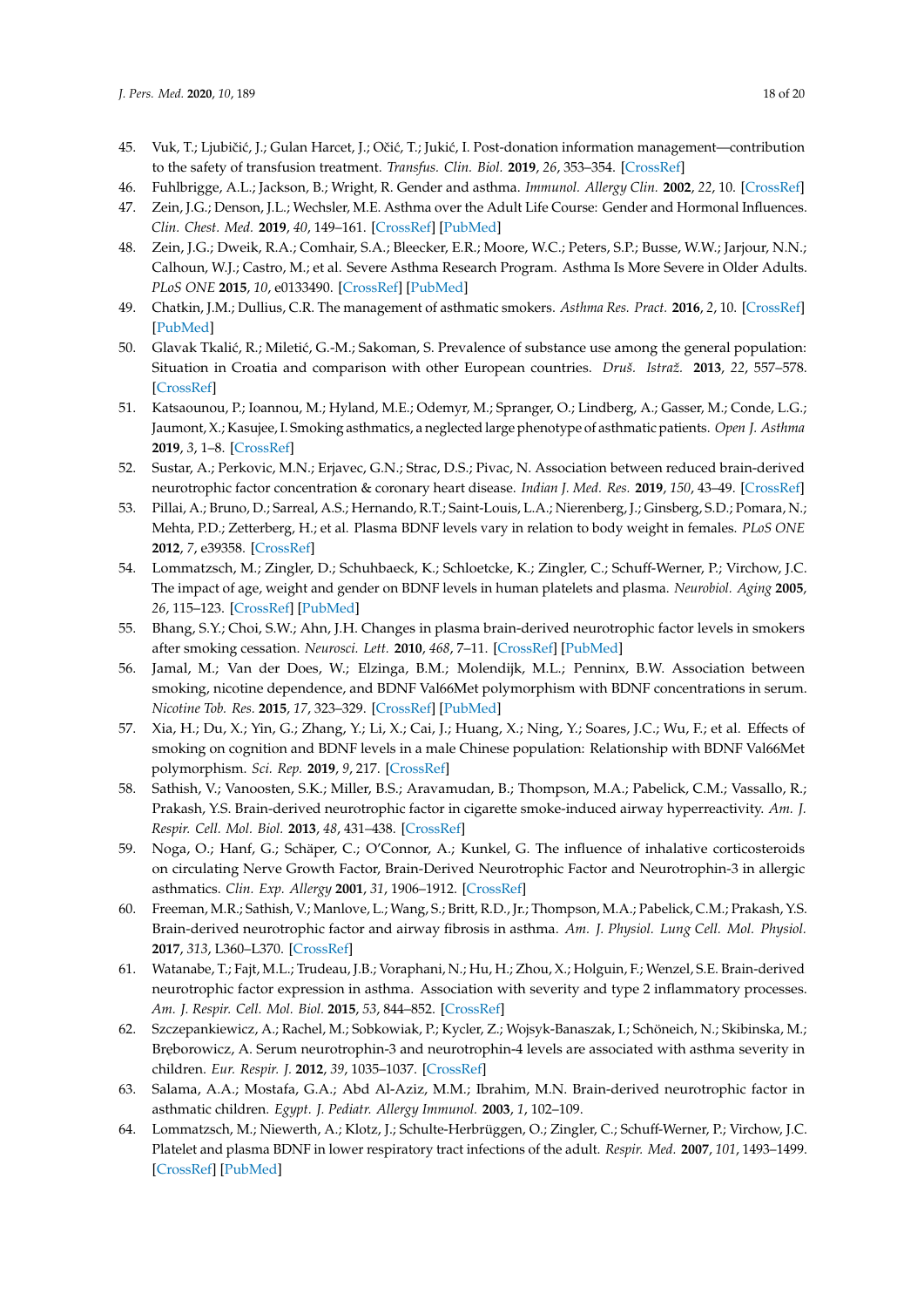- <span id="page-17-0"></span>45. Vuk, T.; Ljubičić, J.; Gulan Harcet, J.; Očić, T.; Jukić, I. Post-donation information management—contribution to the safety of transfusion treatment. *Transfus. Clin. Biol.* **2019**, *26*, 353–354. [\[CrossRef\]](http://dx.doi.org/10.1016/j.tracli.2019.07.004)
- <span id="page-17-1"></span>46. Fuhlbrigge, A.L.; Jackson, B.; Wright, R. Gender and asthma. *Immunol. Allergy Clin.* **2002**, *22*, 10. [\[CrossRef\]](http://dx.doi.org/10.1016/S0889-8561(02)00022-X)
- <span id="page-17-2"></span>47. Zein, J.G.; Denson, J.L.; Wechsler, M.E. Asthma over the Adult Life Course: Gender and Hormonal Influences. *Clin. Chest. Med.* **2019**, *40*, 149–161. [\[CrossRef\]](http://dx.doi.org/10.1016/j.ccm.2018.10.009) [\[PubMed\]](http://www.ncbi.nlm.nih.gov/pubmed/30691709)
- <span id="page-17-3"></span>48. Zein, J.G.; Dweik, R.A.; Comhair, S.A.; Bleecker, E.R.; Moore, W.C.; Peters, S.P.; Busse, W.W.; Jarjour, N.N.; Calhoun, W.J.; Castro, M.; et al. Severe Asthma Research Program. Asthma Is More Severe in Older Adults. *PLoS ONE* **2015**, *10*, e0133490. [\[CrossRef\]](http://dx.doi.org/10.1371/journal.pone.0133490) [\[PubMed\]](http://www.ncbi.nlm.nih.gov/pubmed/26200463)
- <span id="page-17-4"></span>49. Chatkin, J.M.; Dullius, C.R. The management of asthmatic smokers. *Asthma Res. Pract.* **2016**, *2*, 10. [\[CrossRef\]](http://dx.doi.org/10.1186/s40733-016-0025-7) [\[PubMed\]](http://www.ncbi.nlm.nih.gov/pubmed/27965778)
- <span id="page-17-5"></span>50. Glavak Tkalić, R.; Miletić, G.-M.; Sakoman, S. Prevalence of substance use among the general population: Situation in Croatia and comparison with other European countries. *Druš. Istraž.* **2013**, *22*, 557–578. [\[CrossRef\]](http://dx.doi.org/10.5559/di.22.4.01)
- <span id="page-17-6"></span>51. Katsaounou, P.; Ioannou, M.; Hyland, M.E.; Odemyr, M.; Spranger, O.; Lindberg, A.; Gasser, M.; Conde, L.G.; Jaumont, X.; Kasujee, I. Smoking asthmatics, a neglected large phenotype of asthmatic patients. *Open J. Asthma* **2019**, *3*, 1–8. [\[CrossRef\]](http://dx.doi.org/10.17352/oja.000010)
- <span id="page-17-7"></span>52. Sustar, A.; Perkovic, M.N.; Erjavec, G.N.; Strac, D.S.; Pivac, N. Association between reduced brain-derived neurotrophic factor concentration & coronary heart disease. *Indian J. Med. Res.* **2019**, *150*, 43–49. [\[CrossRef\]](http://dx.doi.org/10.4103/ijmr.IJMR_1566_17)
- <span id="page-17-8"></span>53. Pillai, A.; Bruno, D.; Sarreal, A.S.; Hernando, R.T.; Saint-Louis, L.A.; Nierenberg, J.; Ginsberg, S.D.; Pomara, N.; Mehta, P.D.; Zetterberg, H.; et al. Plasma BDNF levels vary in relation to body weight in females. *PLoS ONE* **2012**, *7*, e39358. [\[CrossRef\]](http://dx.doi.org/10.1371/journal.pone.0039358)
- <span id="page-17-9"></span>54. Lommatzsch, M.; Zingler, D.; Schuhbaeck, K.; Schloetcke, K.; Zingler, C.; Schuff-Werner, P.; Virchow, J.C. The impact of age, weight and gender on BDNF levels in human platelets and plasma. *Neurobiol. Aging* **2005**, *26*, 115–123. [\[CrossRef\]](http://dx.doi.org/10.1016/j.neurobiolaging.2004.03.002) [\[PubMed\]](http://www.ncbi.nlm.nih.gov/pubmed/15585351)
- <span id="page-17-10"></span>55. Bhang, S.Y.; Choi, S.W.; Ahn, J.H. Changes in plasma brain-derived neurotrophic factor levels in smokers after smoking cessation. *Neurosci. Lett.* **2010**, *468*, 7–11. [\[CrossRef\]](http://dx.doi.org/10.1016/j.neulet.2009.10.046) [\[PubMed\]](http://www.ncbi.nlm.nih.gov/pubmed/19850105)
- <span id="page-17-11"></span>56. Jamal, M.; Van der Does, W.; Elzinga, B.M.; Molendijk, M.L.; Penninx, B.W. Association between smoking, nicotine dependence, and BDNF Val66Met polymorphism with BDNF concentrations in serum. *Nicotine Tob. Res.* **2015**, *17*, 323–329. [\[CrossRef\]](http://dx.doi.org/10.1093/ntr/ntu151) [\[PubMed\]](http://www.ncbi.nlm.nih.gov/pubmed/25183693)
- <span id="page-17-12"></span>57. Xia, H.; Du, X.; Yin, G.; Zhang, Y.; Li, X.; Cai, J.; Huang, X.; Ning, Y.; Soares, J.C.; Wu, F.; et al. Effects of smoking on cognition and BDNF levels in a male Chinese population: Relationship with BDNF Val66Met polymorphism. *Sci. Rep.* **2019**, *9*, 217. [\[CrossRef\]](http://dx.doi.org/10.1038/s41598-018-36419-8)
- <span id="page-17-13"></span>58. Sathish, V.; Vanoosten, S.K.; Miller, B.S.; Aravamudan, B.; Thompson, M.A.; Pabelick, C.M.; Vassallo, R.; Prakash, Y.S. Brain-derived neurotrophic factor in cigarette smoke-induced airway hyperreactivity. *Am. J. Respir. Cell. Mol. Biol.* **2013**, *48*, 431–438. [\[CrossRef\]](http://dx.doi.org/10.1165/rcmb.2012-0129OC)
- <span id="page-17-14"></span>59. Noga, O.; Hanf, G.; Schäper, C.; O'Connor, A.; Kunkel, G. The influence of inhalative corticosteroids on circulating Nerve Growth Factor, Brain-Derived Neurotrophic Factor and Neurotrophin-3 in allergic asthmatics. *Clin. Exp. Allergy* **2001**, *31*, 1906–1912. [\[CrossRef\]](http://dx.doi.org/10.1046/j.1365-2222.2001.01249.x)
- <span id="page-17-15"></span>60. Freeman, M.R.; Sathish, V.; Manlove, L.; Wang, S.; Britt, R.D., Jr.; Thompson, M.A.; Pabelick, C.M.; Prakash, Y.S. Brain-derived neurotrophic factor and airway fibrosis in asthma. *Am. J. Physiol. Lung Cell. Mol. Physiol.* **2017**, *313*, L360–L370. [\[CrossRef\]](http://dx.doi.org/10.1152/ajplung.00580.2016)
- <span id="page-17-16"></span>61. Watanabe, T.; Fajt, M.L.; Trudeau, J.B.; Voraphani, N.; Hu, H.; Zhou, X.; Holguin, F.; Wenzel, S.E. Brain-derived neurotrophic factor expression in asthma. Association with severity and type 2 inflammatory processes. *Am. J. Respir. Cell. Mol. Biol.* **2015**, *53*, 844–852. [\[CrossRef\]](http://dx.doi.org/10.1165/rcmb.2015-0015OC)
- <span id="page-17-17"></span>62. Szczepankiewicz, A.; Rachel, M.; Sobkowiak, P.; Kycler, Z.; Wojsyk-Banaszak, I.; Schöneich, N.; Skibinska, M.; Bręborowicz, A. Serum neurotrophin-3 and neurotrophin-4 levels are associated with asthma severity in children. *Eur. Respir. J.* **2012**, *39*, 1035–1037. [\[CrossRef\]](http://dx.doi.org/10.1183/09031936.00136611)
- <span id="page-17-18"></span>63. Salama, A.A.; Mostafa, G.A.; Abd Al-Aziz, M.M.; Ibrahim, M.N. Brain-derived neurotrophic factor in asthmatic children. *Egypt. J. Pediatr. Allergy Immunol.* **2003**, *1*, 102–109.
- <span id="page-17-19"></span>64. Lommatzsch, M.; Niewerth, A.; Klotz, J.; Schulte-Herbrüggen, O.; Zingler, C.; Schuff-Werner, P.; Virchow, J.C. Platelet and plasma BDNF in lower respiratory tract infections of the adult. *Respir. Med.* **2007**, *101*, 1493–1499. [\[CrossRef\]](http://dx.doi.org/10.1016/j.rmed.2007.01.003) [\[PubMed\]](http://www.ncbi.nlm.nih.gov/pubmed/17317133)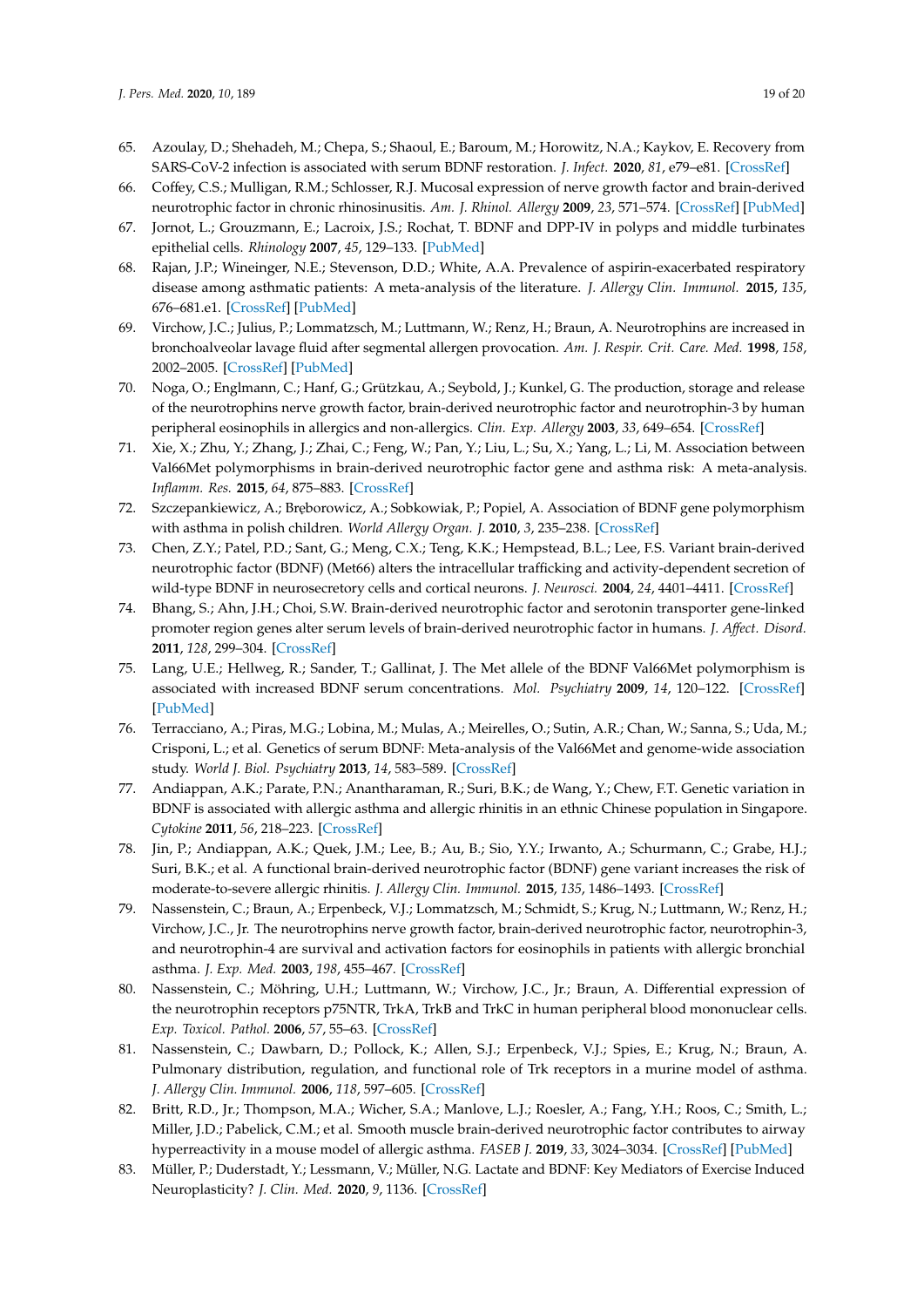- <span id="page-18-0"></span>65. Azoulay, D.; Shehadeh, M.; Chepa, S.; Shaoul, E.; Baroum, M.; Horowitz, N.A.; Kaykov, E. Recovery from SARS-CoV-2 infection is associated with serum BDNF restoration. *J. Infect.* **2020**, *81*, e79–e81. [\[CrossRef\]](http://dx.doi.org/10.1016/j.jinf.2020.06.038)
- <span id="page-18-1"></span>66. Coffey, C.S.; Mulligan, R.M.; Schlosser, R.J. Mucosal expression of nerve growth factor and brain-derived neurotrophic factor in chronic rhinosinusitis. *Am. J. Rhinol. Allergy* **2009**, *23*, 571–574. [\[CrossRef\]](http://dx.doi.org/10.2500/ajra.2009.23.3412) [\[PubMed\]](http://www.ncbi.nlm.nih.gov/pubmed/19958603)
- <span id="page-18-2"></span>67. Jornot, L.; Grouzmann, E.; Lacroix, J.S.; Rochat, T. BDNF and DPP-IV in polyps and middle turbinates epithelial cells. *Rhinology* **2007**, *45*, 129–133. [\[PubMed\]](http://www.ncbi.nlm.nih.gov/pubmed/17708459)
- <span id="page-18-3"></span>68. Rajan, J.P.; Wineinger, N.E.; Stevenson, D.D.; White, A.A. Prevalence of aspirin-exacerbated respiratory disease among asthmatic patients: A meta-analysis of the literature. *J. Allergy Clin. Immunol.* **2015**, *135*, 676–681.e1. [\[CrossRef\]](http://dx.doi.org/10.1016/j.jaci.2014.08.020) [\[PubMed\]](http://www.ncbi.nlm.nih.gov/pubmed/25282015)
- <span id="page-18-4"></span>69. Virchow, J.C.; Julius, P.; Lommatzsch, M.; Luttmann, W.; Renz, H.; Braun, A. Neurotrophins are increased in bronchoalveolar lavage fluid after segmental allergen provocation. *Am. J. Respir. Crit. Care. Med.* **1998**, *158*, 2002–2005. [\[CrossRef\]](http://dx.doi.org/10.1164/ajrccm.158.6.9803023) [\[PubMed\]](http://www.ncbi.nlm.nih.gov/pubmed/9847299)
- <span id="page-18-5"></span>70. Noga, O.; Englmann, C.; Hanf, G.; Grützkau, A.; Seybold, J.; Kunkel, G. The production, storage and release of the neurotrophins nerve growth factor, brain-derived neurotrophic factor and neurotrophin-3 by human peripheral eosinophils in allergics and non-allergics. *Clin. Exp. Allergy* **2003**, *33*, 649–654. [\[CrossRef\]](http://dx.doi.org/10.1046/j.1365-2222.2003.01586.x)
- <span id="page-18-6"></span>71. Xie, X.; Zhu, Y.; Zhang, J.; Zhai, C.; Feng, W.; Pan, Y.; Liu, L.; Su, X.; Yang, L.; Li, M. Association between Val66Met polymorphisms in brain-derived neurotrophic factor gene and asthma risk: A meta-analysis. *Inflamm. Res.* **2015**, *64*, 875–883. [\[CrossRef\]](http://dx.doi.org/10.1007/s00011-015-0869-y)
- <span id="page-18-7"></span>72. Szczepankiewicz, A.; Br˛eborowicz, A.; Sobkowiak, P.; Popiel, A. Association of BDNF gene polymorphism with asthma in polish children. *World Allergy Organ. J.* **2010**, *3*, 235–238. [\[CrossRef\]](http://dx.doi.org/10.1097/WOX.0b013e3181eedb68)
- <span id="page-18-8"></span>73. Chen, Z.Y.; Patel, P.D.; Sant, G.; Meng, C.X.; Teng, K.K.; Hempstead, B.L.; Lee, F.S. Variant brain-derived neurotrophic factor (BDNF) (Met66) alters the intracellular trafficking and activity-dependent secretion of wild-type BDNF in neurosecretory cells and cortical neurons. *J. Neurosci.* **2004**, *24*, 4401–4411. [\[CrossRef\]](http://dx.doi.org/10.1523/JNEUROSCI.0348-04.2004)
- <span id="page-18-9"></span>74. Bhang, S.; Ahn, J.H.; Choi, S.W. Brain-derived neurotrophic factor and serotonin transporter gene-linked promoter region genes alter serum levels of brain-derived neurotrophic factor in humans. *J. A*ff*ect. Disord.* **2011**, *128*, 299–304. [\[CrossRef\]](http://dx.doi.org/10.1016/j.jad.2010.07.008)
- <span id="page-18-10"></span>75. Lang, U.E.; Hellweg, R.; Sander, T.; Gallinat, J. The Met allele of the BDNF Val66Met polymorphism is associated with increased BDNF serum concentrations. *Mol. Psychiatry* **2009**, *14*, 120–122. [\[CrossRef\]](http://dx.doi.org/10.1038/mp.2008.80) [\[PubMed\]](http://www.ncbi.nlm.nih.gov/pubmed/19156154)
- <span id="page-18-11"></span>76. Terracciano, A.; Piras, M.G.; Lobina, M.; Mulas, A.; Meirelles, O.; Sutin, A.R.; Chan, W.; Sanna, S.; Uda, M.; Crisponi, L.; et al. Genetics of serum BDNF: Meta-analysis of the Val66Met and genome-wide association study. *World J. Biol. Psychiatry* **2013**, *14*, 583–589. [\[CrossRef\]](http://dx.doi.org/10.3109/15622975.2011.616533)
- <span id="page-18-12"></span>77. Andiappan, A.K.; Parate, P.N.; Anantharaman, R.; Suri, B.K.; de Wang, Y.; Chew, F.T. Genetic variation in BDNF is associated with allergic asthma and allergic rhinitis in an ethnic Chinese population in Singapore. *Cytokine* **2011**, *56*, 218–223. [\[CrossRef\]](http://dx.doi.org/10.1016/j.cyto.2011.05.008)
- <span id="page-18-13"></span>78. Jin, P.; Andiappan, A.K.; Quek, J.M.; Lee, B.; Au, B.; Sio, Y.Y.; Irwanto, A.; Schurmann, C.; Grabe, H.J.; Suri, B.K.; et al. A functional brain-derived neurotrophic factor (BDNF) gene variant increases the risk of moderate-to-severe allergic rhinitis. *J. Allergy Clin. Immunol.* **2015**, *135*, 1486–1493. [\[CrossRef\]](http://dx.doi.org/10.1016/j.jaci.2014.12.1870)
- <span id="page-18-14"></span>79. Nassenstein, C.; Braun, A.; Erpenbeck, V.J.; Lommatzsch, M.; Schmidt, S.; Krug, N.; Luttmann, W.; Renz, H.; Virchow, J.C., Jr. The neurotrophins nerve growth factor, brain-derived neurotrophic factor, neurotrophin-3, and neurotrophin-4 are survival and activation factors for eosinophils in patients with allergic bronchial asthma. *J. Exp. Med.* **2003**, *198*, 455–467. [\[CrossRef\]](http://dx.doi.org/10.1084/jem.20010897)
- <span id="page-18-15"></span>80. Nassenstein, C.; Möhring, U.H.; Luttmann, W.; Virchow, J.C., Jr.; Braun, A. Differential expression of the neurotrophin receptors p75NTR, TrkA, TrkB and TrkC in human peripheral blood mononuclear cells. *Exp. Toxicol. Pathol.* **2006**, *57*, 55–63. [\[CrossRef\]](http://dx.doi.org/10.1016/j.etp.2006.02.008)
- <span id="page-18-16"></span>81. Nassenstein, C.; Dawbarn, D.; Pollock, K.; Allen, S.J.; Erpenbeck, V.J.; Spies, E.; Krug, N.; Braun, A. Pulmonary distribution, regulation, and functional role of Trk receptors in a murine model of asthma. *J. Allergy Clin. Immunol.* **2006**, *118*, 597–605. [\[CrossRef\]](http://dx.doi.org/10.1016/j.jaci.2006.04.052)
- <span id="page-18-17"></span>82. Britt, R.D., Jr.; Thompson, M.A.; Wicher, S.A.; Manlove, L.J.; Roesler, A.; Fang, Y.H.; Roos, C.; Smith, L.; Miller, J.D.; Pabelick, C.M.; et al. Smooth muscle brain-derived neurotrophic factor contributes to airway hyperreactivity in a mouse model of allergic asthma. *FASEB J.* **2019**, *33*, 3024–3034. [\[CrossRef\]](http://dx.doi.org/10.1096/fj.201801002R) [\[PubMed\]](http://www.ncbi.nlm.nih.gov/pubmed/30351991)
- <span id="page-18-18"></span>83. Müller, P.; Duderstadt, Y.; Lessmann, V.; Müller, N.G. Lactate and BDNF: Key Mediators of Exercise Induced Neuroplasticity? *J. Clin. Med.* **2020**, *9*, 1136. [\[CrossRef\]](http://dx.doi.org/10.3390/jcm9041136)